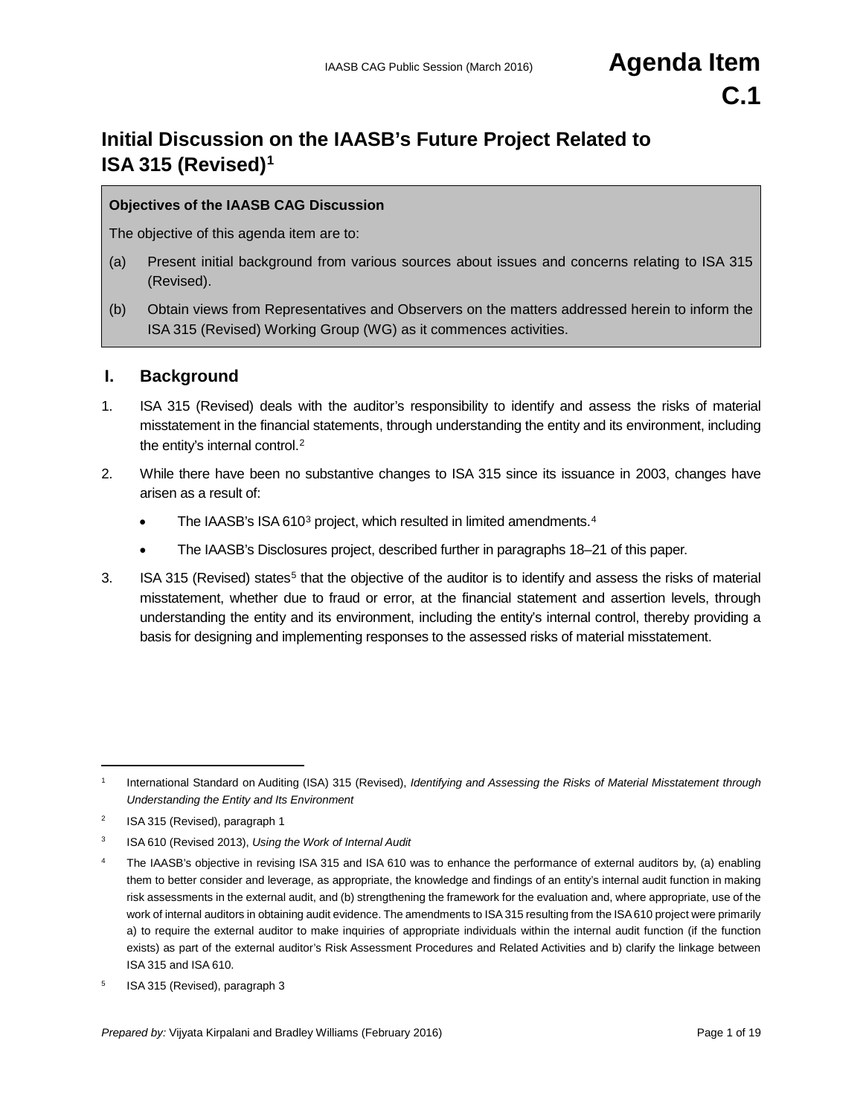# **Initial Discussion on the IAASB's Future Project Related to ISA 315 (Revised)[1](#page-0-0)**

#### **Objectives of the IAASB CAG Discussion**

The objective of this agenda item are to:

- (a) Present initial background from various sources about issues and concerns relating to ISA 315 (Revised).
- (b) Obtain views from Representatives and Observers on the matters addressed herein to inform the ISA 315 (Revised) Working Group (WG) as it commences activities.

#### **I. Background**

- 1. ISA 315 (Revised) deals with the auditor's responsibility to identify and assess the risks of material misstatement in the financial statements, through understanding the entity and its environment, including the entity's internal control.[2](#page-0-1)
- 2. While there have been no substantive changes to ISA 315 since its issuance in 2003, changes have arisen as a result of:
	- The IAASB's ISA 610<sup>[3](#page-0-2)</sup> project, which resulted in limited amendments.<sup>[4](#page-0-3)</sup>
	- The IAASB's Disclosures project, described further in paragraphs 18–21 of this paper.
- 3. ISA 31[5](#page-0-4) (Revised) states<sup>5</sup> that the objective of the auditor is to identify and assess the risks of material misstatement, whether due to fraud or error, at the financial statement and assertion levels, through understanding the entity and its environment, including the entity's internal control, thereby providing a basis for designing and implementing responses to the assessed risks of material misstatement.

<span id="page-0-0"></span><sup>1</sup> International Standard on Auditing (ISA) 315 (Revised), *Identifying and Assessing the Risks of Material Misstatement through Understanding the Entity and Its Environment*

<span id="page-0-1"></span><sup>&</sup>lt;sup>2</sup> ISA 315 (Revised), paragraph 1

<span id="page-0-2"></span><sup>3</sup> ISA 610 (Revised 2013), *Using the Work of Internal Audit*

<span id="page-0-3"></span><sup>&</sup>lt;sup>4</sup> The IAASB's objective in revising ISA 315 and ISA 610 was to enhance the performance of external auditors by, (a) enabling them to better consider and leverage, as appropriate, the knowledge and findings of an entity's internal audit function in making risk assessments in the external audit, and (b) strengthening the framework for the evaluation and, where appropriate, use of the work of internal auditors in obtaining audit evidence. The amendments to ISA 315 resulting from the ISA 610 project were primarily a) to require the external auditor to make inquiries of appropriate individuals within the internal audit function (if the function exists) as part of the external auditor's Risk Assessment Procedures and Related Activities and b) clarify the linkage between ISA 315 and ISA 610.

<span id="page-0-4"></span><sup>5</sup> ISA 315 (Revised), paragraph 3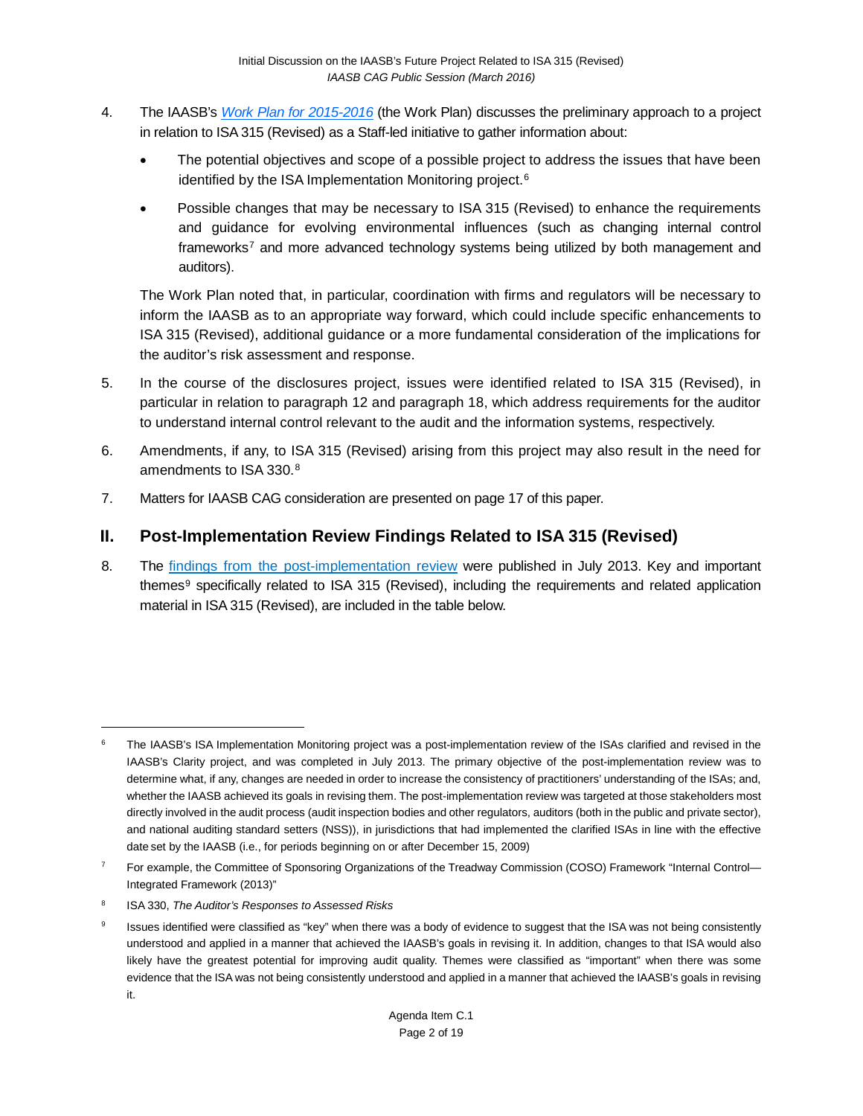- 4. The IAASB's *[Work Plan for 2015-2016](http://www.ifac.org/publications-resources/iaasb-work-plan-2015-2016)* (the Work Plan) discusses the preliminary approach to a project in relation to ISA 315 (Revised) as a Staff-led initiative to gather information about:
	- The potential objectives and scope of a possible project to address the issues that have been identified by the ISA Implementation Monitoring project.<sup>[6](#page-1-0)</sup>
	- Possible changes that may be necessary to ISA 315 (Revised) to enhance the requirements and guidance for evolving environmental influences (such as changing internal control frameworks<sup>[7](#page-1-1)</sup> and more advanced technology systems being utilized by both management and auditors).

The Work Plan noted that, in particular, coordination with firms and regulators will be necessary to inform the IAASB as to an appropriate way forward, which could include specific enhancements to ISA 315 (Revised), additional guidance or a more fundamental consideration of the implications for the auditor's risk assessment and response.

- 5. In the course of the disclosures project, issues were identified related to ISA 315 (Revised), in particular in relation to paragraph 12 and paragraph 18, which address requirements for the auditor to understand internal control relevant to the audit and the information systems, respectively.
- 6. Amendments, if any, to ISA 315 (Revised) arising from this project may also result in the need for amendments to ISA 330.[8](#page-1-2)
- 7. Matters for IAASB CAG consideration are presented on page 17 of this paper.

### **II. Post-Implementation Review Findings Related to ISA 315 (Revised)**

8. The [findings from the post-implementation review](http://www.ifac.org/publications-resources/clarified-isas-findings-post-implementation-review) were published in July 2013. Key and important themes<sup>[9](#page-1-3)</sup> specifically related to ISA 315 (Revised), including the requirements and related application material in ISA 315 (Revised), are included in the table below.

<span id="page-1-0"></span>The IAASB's [ISA Implementation Monitoring](https://www.ifac.org/publications-resources/clarified-isas-findings-post-implementation-review) project was a post-implementation review of the ISAs clarified and revised in the IAASB's Clarity project, and was completed in July 2013. The primary objective of the post-implementation review was to determine what, if any, changes are needed in order to increase the consistency of practitioners' understanding of the ISAs; and, whether the IAASB achieved its goals in revising them. The post-implementation review was targeted at those stakeholders most directly involved in the audit process (audit inspection bodies and other regulators, auditors (both in the public and private sector), and national auditing standard setters (NSS)), in jurisdictions that had implemented the clarified ISAs in line with the effective date set by the IAASB (i.e., for periods beginning on or after December 15, 2009)

<span id="page-1-1"></span><sup>&</sup>lt;sup>7</sup> For example, the Committee of Sponsoring Organizations of the Treadway Commission (COSO) Framework "Internal Control-Integrated Framework (2013)"

<span id="page-1-2"></span><sup>8</sup> ISA 330, *The Auditor's Responses to Assessed Risks*

<span id="page-1-3"></span><sup>&</sup>lt;sup>9</sup> Issues identified were classified as "key" when there was a body of evidence to suggest that the ISA was not being consistently understood and applied in a manner that achieved the IAASB's goals in revising it. In addition, changes to that ISA would also likely have the greatest potential for improving audit quality. Themes were classified as "important" when there was some evidence that the ISA was not being consistently understood and applied in a manner that achieved the IAASB's goals in revising it.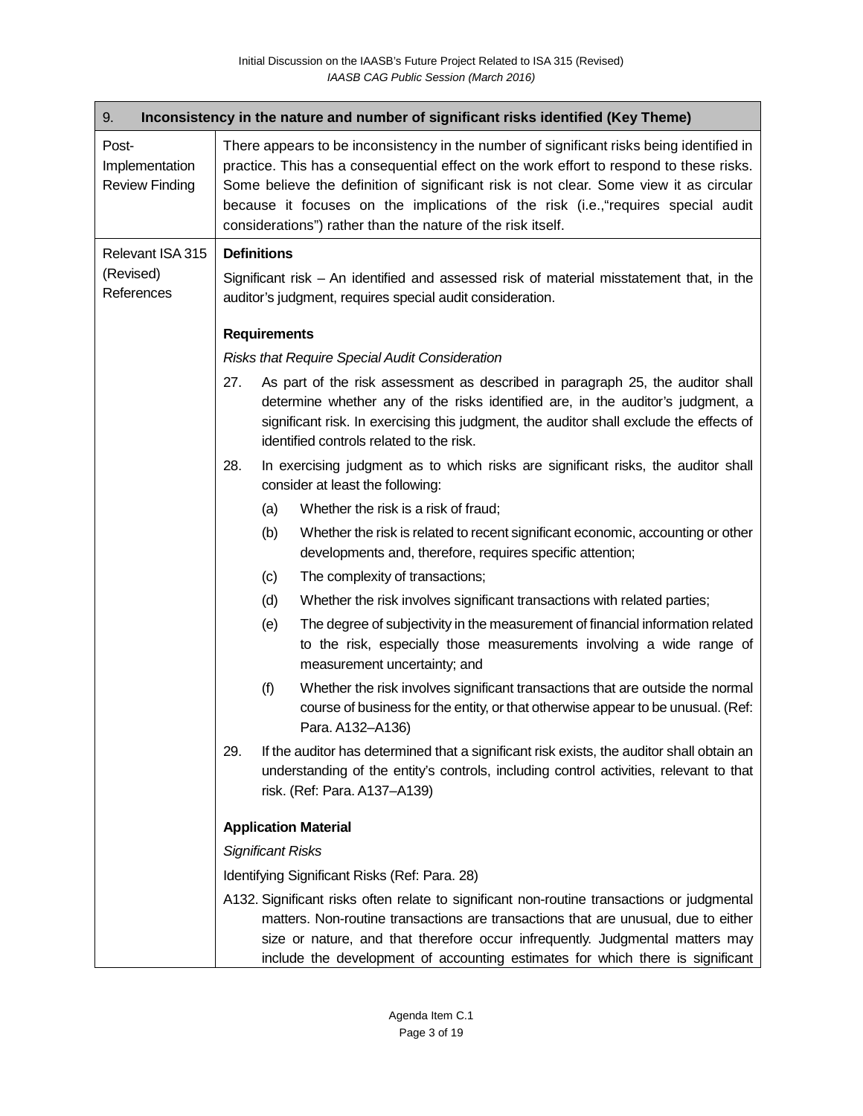| 9.<br>Inconsistency in the nature and number of significant risks identified (Key Theme) |                                                                                                                                                                                                                                                                                                                                                                                                                                   |                                               |                                                                                                                                                                                                                                                                                                                                                     |  |  |  |
|------------------------------------------------------------------------------------------|-----------------------------------------------------------------------------------------------------------------------------------------------------------------------------------------------------------------------------------------------------------------------------------------------------------------------------------------------------------------------------------------------------------------------------------|-----------------------------------------------|-----------------------------------------------------------------------------------------------------------------------------------------------------------------------------------------------------------------------------------------------------------------------------------------------------------------------------------------------------|--|--|--|
| Post-<br>Implementation<br><b>Review Finding</b>                                         | There appears to be inconsistency in the number of significant risks being identified in<br>practice. This has a consequential effect on the work effort to respond to these risks.<br>Some believe the definition of significant risk is not clear. Some view it as circular<br>because it focuses on the implications of the risk (i.e., "requires special audit<br>considerations") rather than the nature of the risk itself. |                                               |                                                                                                                                                                                                                                                                                                                                                     |  |  |  |
| Relevant ISA 315                                                                         | <b>Definitions</b>                                                                                                                                                                                                                                                                                                                                                                                                                |                                               |                                                                                                                                                                                                                                                                                                                                                     |  |  |  |
| (Revised)<br>References                                                                  | Significant risk – An identified and assessed risk of material misstatement that, in the<br>auditor's judgment, requires special audit consideration.                                                                                                                                                                                                                                                                             |                                               |                                                                                                                                                                                                                                                                                                                                                     |  |  |  |
|                                                                                          |                                                                                                                                                                                                                                                                                                                                                                                                                                   | <b>Requirements</b>                           |                                                                                                                                                                                                                                                                                                                                                     |  |  |  |
|                                                                                          | <b>Risks that Require Special Audit Consideration</b>                                                                                                                                                                                                                                                                                                                                                                             |                                               |                                                                                                                                                                                                                                                                                                                                                     |  |  |  |
|                                                                                          | 27.                                                                                                                                                                                                                                                                                                                                                                                                                               |                                               | As part of the risk assessment as described in paragraph 25, the auditor shall<br>determine whether any of the risks identified are, in the auditor's judgment, a<br>significant risk. In exercising this judgment, the auditor shall exclude the effects of<br>identified controls related to the risk.                                            |  |  |  |
|                                                                                          | 28.                                                                                                                                                                                                                                                                                                                                                                                                                               |                                               | In exercising judgment as to which risks are significant risks, the auditor shall<br>consider at least the following:                                                                                                                                                                                                                               |  |  |  |
|                                                                                          |                                                                                                                                                                                                                                                                                                                                                                                                                                   | (a)                                           | Whether the risk is a risk of fraud;                                                                                                                                                                                                                                                                                                                |  |  |  |
|                                                                                          |                                                                                                                                                                                                                                                                                                                                                                                                                                   | (b)                                           | Whether the risk is related to recent significant economic, accounting or other<br>developments and, therefore, requires specific attention;                                                                                                                                                                                                        |  |  |  |
|                                                                                          |                                                                                                                                                                                                                                                                                                                                                                                                                                   | (c)                                           | The complexity of transactions;                                                                                                                                                                                                                                                                                                                     |  |  |  |
|                                                                                          |                                                                                                                                                                                                                                                                                                                                                                                                                                   | (d)                                           | Whether the risk involves significant transactions with related parties;                                                                                                                                                                                                                                                                            |  |  |  |
|                                                                                          |                                                                                                                                                                                                                                                                                                                                                                                                                                   | (e)                                           | The degree of subjectivity in the measurement of financial information related<br>to the risk, especially those measurements involving a wide range of<br>measurement uncertainty; and                                                                                                                                                              |  |  |  |
|                                                                                          |                                                                                                                                                                                                                                                                                                                                                                                                                                   | (f)                                           | Whether the risk involves significant transactions that are outside the normal<br>course of business for the entity, or that otherwise appear to be unusual. (Ref:<br>Para. A132-A136)                                                                                                                                                              |  |  |  |
|                                                                                          | 29.                                                                                                                                                                                                                                                                                                                                                                                                                               |                                               | If the auditor has determined that a significant risk exists, the auditor shall obtain an<br>understanding of the entity's controls, including control activities, relevant to that<br>risk. (Ref: Para. A137-A139)                                                                                                                                 |  |  |  |
|                                                                                          |                                                                                                                                                                                                                                                                                                                                                                                                                                   |                                               | <b>Application Material</b>                                                                                                                                                                                                                                                                                                                         |  |  |  |
|                                                                                          |                                                                                                                                                                                                                                                                                                                                                                                                                                   | <b>Significant Risks</b>                      |                                                                                                                                                                                                                                                                                                                                                     |  |  |  |
|                                                                                          |                                                                                                                                                                                                                                                                                                                                                                                                                                   | Identifying Significant Risks (Ref: Para. 28) |                                                                                                                                                                                                                                                                                                                                                     |  |  |  |
|                                                                                          |                                                                                                                                                                                                                                                                                                                                                                                                                                   |                                               | A132. Significant risks often relate to significant non-routine transactions or judgmental<br>matters. Non-routine transactions are transactions that are unusual, due to either<br>size or nature, and that therefore occur infrequently. Judgmental matters may<br>include the development of accounting estimates for which there is significant |  |  |  |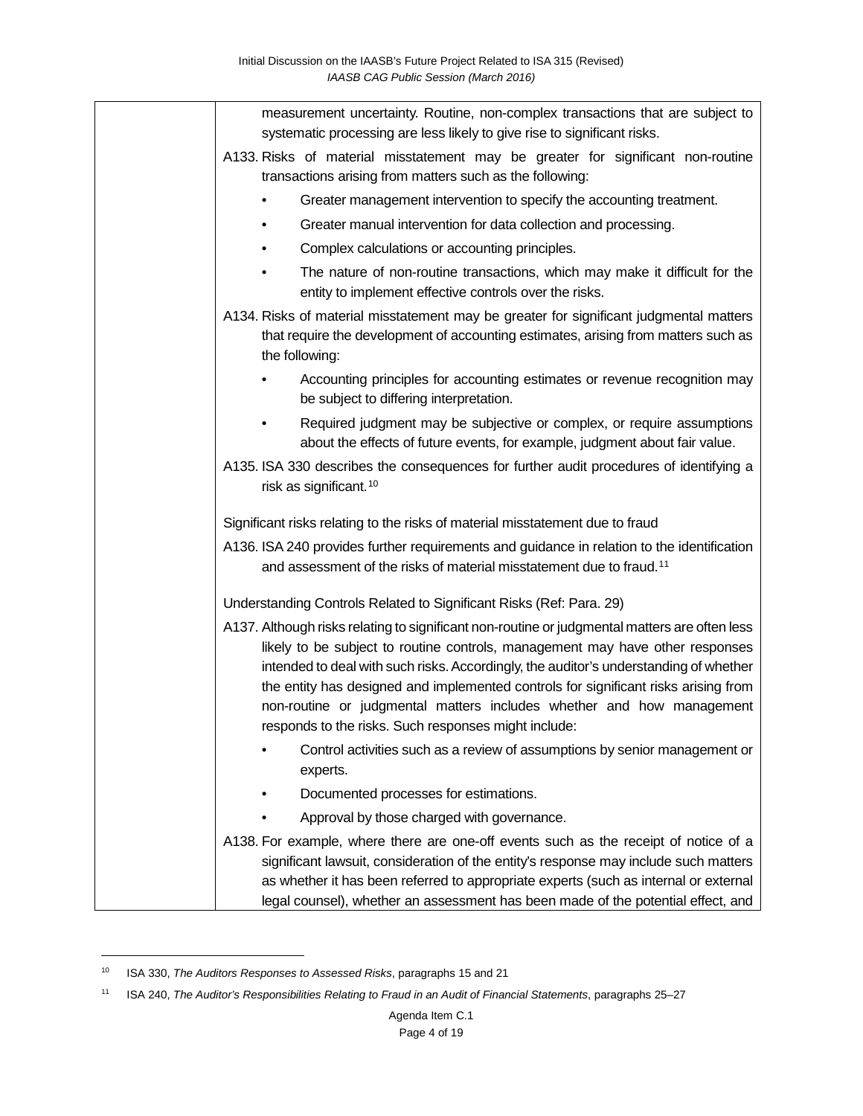| measurement uncertainty. Routine, non-complex transactions that are subject to<br>systematic processing are less likely to give rise to significant risks.                                                                                                                                                                                                                                                                                                                                      |
|-------------------------------------------------------------------------------------------------------------------------------------------------------------------------------------------------------------------------------------------------------------------------------------------------------------------------------------------------------------------------------------------------------------------------------------------------------------------------------------------------|
| A133. Risks of material misstatement may be greater for significant non-routine<br>transactions arising from matters such as the following:                                                                                                                                                                                                                                                                                                                                                     |
| Greater management intervention to specify the accounting treatment.                                                                                                                                                                                                                                                                                                                                                                                                                            |
| Greater manual intervention for data collection and processing.                                                                                                                                                                                                                                                                                                                                                                                                                                 |
| Complex calculations or accounting principles.                                                                                                                                                                                                                                                                                                                                                                                                                                                  |
| The nature of non-routine transactions, which may make it difficult for the<br>entity to implement effective controls over the risks.                                                                                                                                                                                                                                                                                                                                                           |
| A134. Risks of material misstatement may be greater for significant judgmental matters<br>that require the development of accounting estimates, arising from matters such as<br>the following:                                                                                                                                                                                                                                                                                                  |
| Accounting principles for accounting estimates or revenue recognition may<br>be subject to differing interpretation.                                                                                                                                                                                                                                                                                                                                                                            |
| Required judgment may be subjective or complex, or require assumptions<br>about the effects of future events, for example, judgment about fair value.                                                                                                                                                                                                                                                                                                                                           |
| A135. ISA 330 describes the consequences for further audit procedures of identifying a<br>risk as significant. <sup>10</sup>                                                                                                                                                                                                                                                                                                                                                                    |
| Significant risks relating to the risks of material misstatement due to fraud                                                                                                                                                                                                                                                                                                                                                                                                                   |
| A136. ISA 240 provides further requirements and guidance in relation to the identification<br>and assessment of the risks of material misstatement due to fraud. <sup>11</sup>                                                                                                                                                                                                                                                                                                                  |
| Understanding Controls Related to Significant Risks (Ref: Para. 29)                                                                                                                                                                                                                                                                                                                                                                                                                             |
| A137. Although risks relating to significant non-routine or judgmental matters are often less<br>likely to be subject to routine controls, management may have other responses<br>intended to deal with such risks. Accordingly, the auditor's understanding of whether<br>the entity has designed and implemented controls for significant risks arising from<br>non-routine or judgmental matters includes whether and how management<br>responds to the risks. Such responses might include: |
| Control activities such as a review of assumptions by senior management or<br>experts.                                                                                                                                                                                                                                                                                                                                                                                                          |
| Documented processes for estimations.                                                                                                                                                                                                                                                                                                                                                                                                                                                           |
| Approval by those charged with governance.                                                                                                                                                                                                                                                                                                                                                                                                                                                      |
| A138. For example, where there are one-off events such as the receipt of notice of a<br>significant lawsuit, consideration of the entity's response may include such matters<br>as whether it has been referred to appropriate experts (such as internal or external<br>legal counsel), whether an assessment has been made of the potential effect, and                                                                                                                                        |

<span id="page-3-0"></span><sup>10</sup> ISA 330, *The Auditors Responses to Assessed Risks*, paragraphs 15 and 21

<span id="page-3-1"></span><sup>11</sup> ISA 240, *The Auditor's Responsibilities Relating to Fraud in an Audit of Financial Statements*, paragraphs 25–27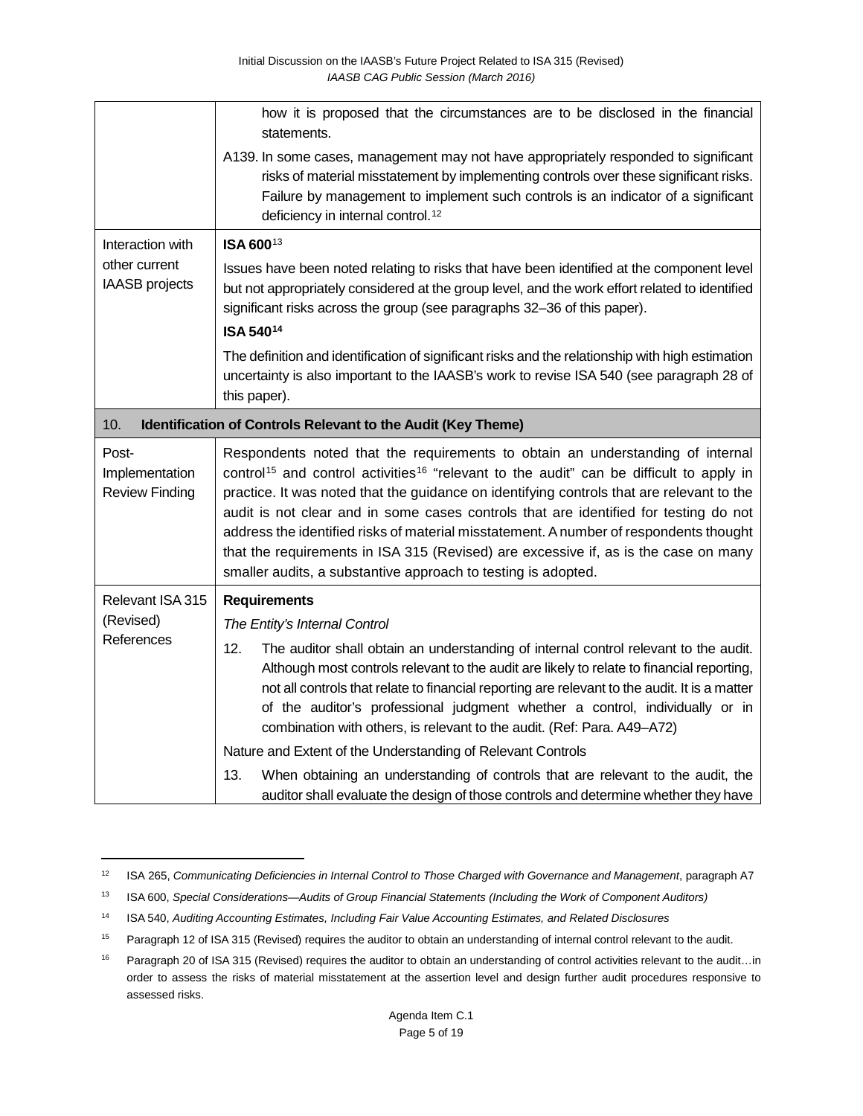|                                                                     | how it is proposed that the circumstances are to be disclosed in the financial<br>statements.                                                                                                                                                                                                                                                                                                                                                                                                                                                                                                                                            |  |  |  |
|---------------------------------------------------------------------|------------------------------------------------------------------------------------------------------------------------------------------------------------------------------------------------------------------------------------------------------------------------------------------------------------------------------------------------------------------------------------------------------------------------------------------------------------------------------------------------------------------------------------------------------------------------------------------------------------------------------------------|--|--|--|
|                                                                     | A139. In some cases, management may not have appropriately responded to significant<br>risks of material misstatement by implementing controls over these significant risks.<br>Failure by management to implement such controls is an indicator of a significant<br>deficiency in internal control. <sup>12</sup>                                                                                                                                                                                                                                                                                                                       |  |  |  |
| Interaction with<br>other current<br><b>IAASB</b> projects          | ISA 60013                                                                                                                                                                                                                                                                                                                                                                                                                                                                                                                                                                                                                                |  |  |  |
|                                                                     | Issues have been noted relating to risks that have been identified at the component level<br>but not appropriately considered at the group level, and the work effort related to identified<br>significant risks across the group (see paragraphs 32-36 of this paper).                                                                                                                                                                                                                                                                                                                                                                  |  |  |  |
|                                                                     | ISA 54014                                                                                                                                                                                                                                                                                                                                                                                                                                                                                                                                                                                                                                |  |  |  |
|                                                                     | The definition and identification of significant risks and the relationship with high estimation<br>uncertainty is also important to the IAASB's work to revise ISA 540 (see paragraph 28 of<br>this paper).                                                                                                                                                                                                                                                                                                                                                                                                                             |  |  |  |
| 10.<br>Identification of Controls Relevant to the Audit (Key Theme) |                                                                                                                                                                                                                                                                                                                                                                                                                                                                                                                                                                                                                                          |  |  |  |
| Post-<br>Implementation<br><b>Review Finding</b>                    | Respondents noted that the requirements to obtain an understanding of internal<br>control <sup>15</sup> and control activities <sup>16</sup> "relevant to the audit" can be difficult to apply in<br>practice. It was noted that the guidance on identifying controls that are relevant to the<br>audit is not clear and in some cases controls that are identified for testing do not<br>address the identified risks of material misstatement. A number of respondents thought<br>that the requirements in ISA 315 (Revised) are excessive if, as is the case on many<br>smaller audits, a substantive approach to testing is adopted. |  |  |  |
| Relevant ISA 315<br>(Revised)<br>References                         | <b>Requirements</b>                                                                                                                                                                                                                                                                                                                                                                                                                                                                                                                                                                                                                      |  |  |  |
|                                                                     | The Entity's Internal Control                                                                                                                                                                                                                                                                                                                                                                                                                                                                                                                                                                                                            |  |  |  |
|                                                                     | 12.<br>The auditor shall obtain an understanding of internal control relevant to the audit.<br>Although most controls relevant to the audit are likely to relate to financial reporting,<br>not all controls that relate to financial reporting are relevant to the audit. It is a matter<br>of the auditor's professional judgment whether a control, individually or in<br>combination with others, is relevant to the audit. (Ref: Para. A49-A72)                                                                                                                                                                                     |  |  |  |
|                                                                     | Nature and Extent of the Understanding of Relevant Controls                                                                                                                                                                                                                                                                                                                                                                                                                                                                                                                                                                              |  |  |  |
|                                                                     | 13.<br>When obtaining an understanding of controls that are relevant to the audit, the<br>auditor shall evaluate the design of those controls and determine whether they have                                                                                                                                                                                                                                                                                                                                                                                                                                                            |  |  |  |

<span id="page-4-0"></span><sup>12</sup> ISA 265, *Communicating Deficiencies in Internal Control to Those Charged with Governance and Management*, paragraph A7

<span id="page-4-1"></span><sup>13</sup> ISA 600, *Special Considerations—Audits of Group Financial Statements (Including the Work of Component Auditors)*

<span id="page-4-2"></span><sup>14</sup> ISA 540, *Auditing Accounting Estimates, Including Fair Value Accounting Estimates, and Related Disclosures*

<span id="page-4-3"></span><sup>&</sup>lt;sup>15</sup> Paragraph 12 of ISA 315 (Revised) requires the auditor to obtain an understanding of internal control relevant to the audit.

<span id="page-4-4"></span><sup>16</sup> Paragraph 20 of ISA 315 (Revised) requires the auditor to obtain an understanding of control activities relevant to the audit...in order to assess the risks of material misstatement at the assertion level and design further audit procedures responsive to assessed risks.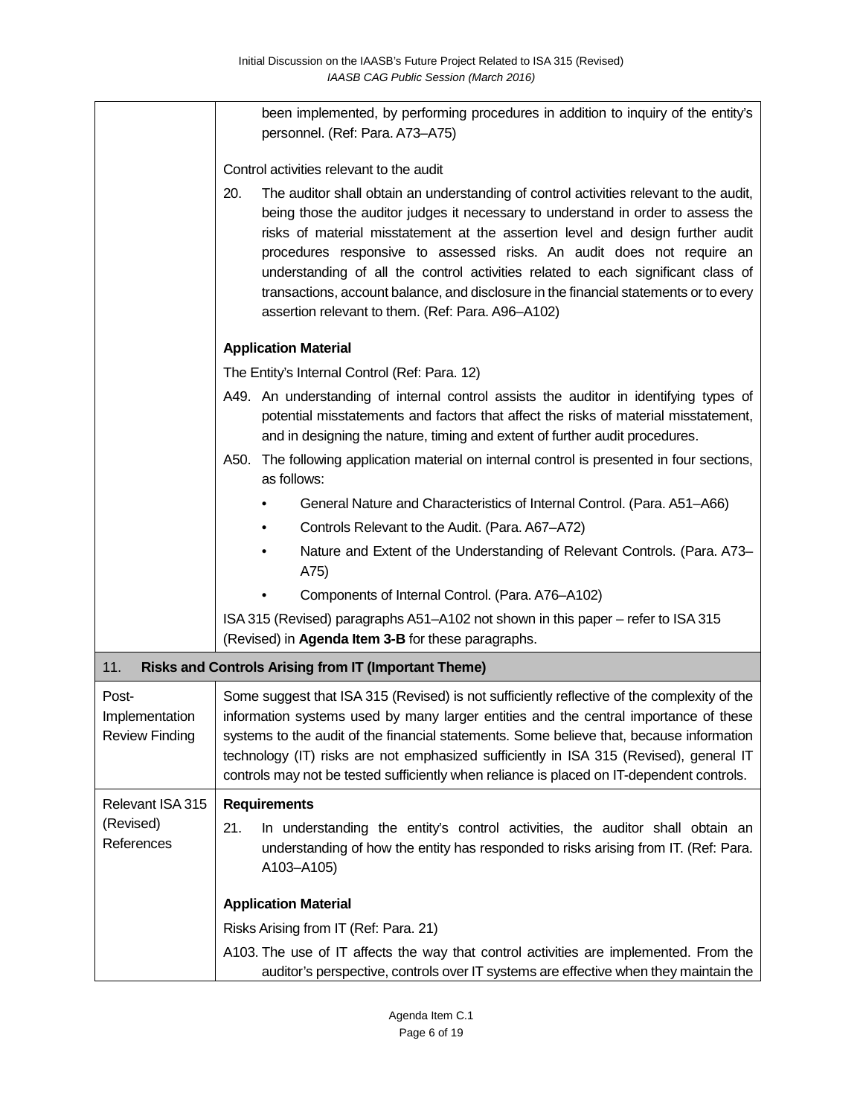|                                                                    | been implemented, by performing procedures in addition to inquiry of the entity's<br>personnel. (Ref: Para. A73-A75)                                                                                                                                                                                                                                                                                                                                                                                                                                                           |  |  |  |  |
|--------------------------------------------------------------------|--------------------------------------------------------------------------------------------------------------------------------------------------------------------------------------------------------------------------------------------------------------------------------------------------------------------------------------------------------------------------------------------------------------------------------------------------------------------------------------------------------------------------------------------------------------------------------|--|--|--|--|
|                                                                    | Control activities relevant to the audit                                                                                                                                                                                                                                                                                                                                                                                                                                                                                                                                       |  |  |  |  |
|                                                                    | 20.<br>The auditor shall obtain an understanding of control activities relevant to the audit,<br>being those the auditor judges it necessary to understand in order to assess the<br>risks of material misstatement at the assertion level and design further audit<br>procedures responsive to assessed risks. An audit does not require an<br>understanding of all the control activities related to each significant class of<br>transactions, account balance, and disclosure in the financial statements or to every<br>assertion relevant to them. (Ref: Para. A96-A102) |  |  |  |  |
|                                                                    | <b>Application Material</b>                                                                                                                                                                                                                                                                                                                                                                                                                                                                                                                                                    |  |  |  |  |
|                                                                    | The Entity's Internal Control (Ref: Para. 12)                                                                                                                                                                                                                                                                                                                                                                                                                                                                                                                                  |  |  |  |  |
|                                                                    | A49. An understanding of internal control assists the auditor in identifying types of<br>potential misstatements and factors that affect the risks of material misstatement,<br>and in designing the nature, timing and extent of further audit procedures.                                                                                                                                                                                                                                                                                                                    |  |  |  |  |
|                                                                    | The following application material on internal control is presented in four sections,<br>A50.<br>as follows:                                                                                                                                                                                                                                                                                                                                                                                                                                                                   |  |  |  |  |
|                                                                    | General Nature and Characteristics of Internal Control. (Para. A51-A66)                                                                                                                                                                                                                                                                                                                                                                                                                                                                                                        |  |  |  |  |
|                                                                    | Controls Relevant to the Audit. (Para. A67-A72)                                                                                                                                                                                                                                                                                                                                                                                                                                                                                                                                |  |  |  |  |
|                                                                    | Nature and Extent of the Understanding of Relevant Controls. (Para. A73–<br>A75)                                                                                                                                                                                                                                                                                                                                                                                                                                                                                               |  |  |  |  |
|                                                                    | Components of Internal Control. (Para. A76-A102)                                                                                                                                                                                                                                                                                                                                                                                                                                                                                                                               |  |  |  |  |
|                                                                    | ISA 315 (Revised) paragraphs A51-A102 not shown in this paper - refer to ISA 315<br>(Revised) in Agenda Item 3-B for these paragraphs.                                                                                                                                                                                                                                                                                                                                                                                                                                         |  |  |  |  |
| 11.<br><b>Risks and Controls Arising from IT (Important Theme)</b> |                                                                                                                                                                                                                                                                                                                                                                                                                                                                                                                                                                                |  |  |  |  |
| Post-<br>Implementation<br><b>Review Finding</b>                   | Some suggest that ISA 315 (Revised) is not sufficiently reflective of the complexity of the<br>information systems used by many larger entities and the central importance of these<br>systems to the audit of the financial statements. Some believe that, because information<br>technology (IT) risks are not emphasized sufficiently in ISA 315 (Revised), general IT<br>controls may not be tested sufficiently when reliance is placed on IT-dependent controls.                                                                                                         |  |  |  |  |
| Relevant ISA 315                                                   | <b>Requirements</b>                                                                                                                                                                                                                                                                                                                                                                                                                                                                                                                                                            |  |  |  |  |
| (Revised)<br>References                                            | 21.<br>In understanding the entity's control activities, the auditor shall obtain an<br>understanding of how the entity has responded to risks arising from IT. (Ref: Para.<br>A103-A105)                                                                                                                                                                                                                                                                                                                                                                                      |  |  |  |  |
|                                                                    | <b>Application Material</b>                                                                                                                                                                                                                                                                                                                                                                                                                                                                                                                                                    |  |  |  |  |
|                                                                    | Risks Arising from IT (Ref: Para. 21)                                                                                                                                                                                                                                                                                                                                                                                                                                                                                                                                          |  |  |  |  |
|                                                                    | A103. The use of IT affects the way that control activities are implemented. From the<br>auditor's perspective, controls over IT systems are effective when they maintain the                                                                                                                                                                                                                                                                                                                                                                                                  |  |  |  |  |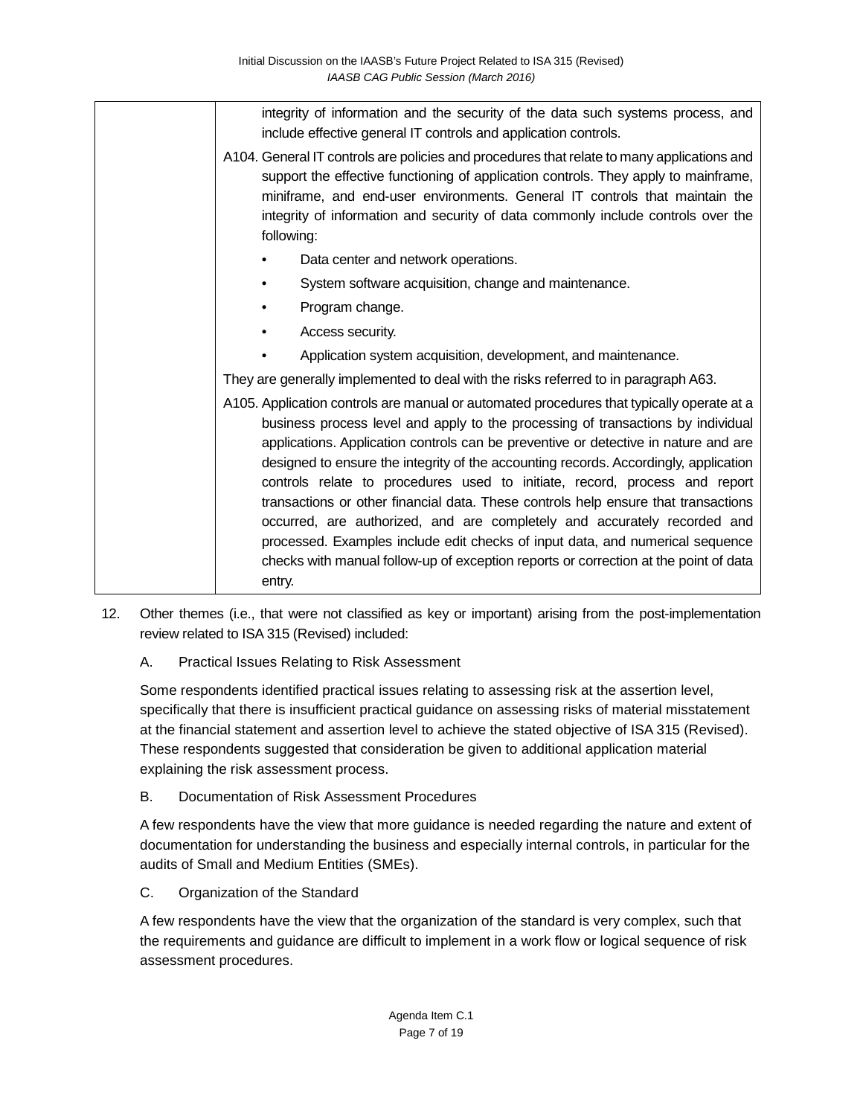integrity of information and the security of the data such systems process, and include effective general IT controls and application controls. A104. General IT controls are policies and procedures that relate to many applications and support the effective functioning of application controls. They apply to mainframe, miniframe, and end-user environments. General IT controls that maintain the integrity of information and security of data commonly include controls over the following: Data center and network operations. System software acquisition, change and maintenance. • Program change. Access security. • Application system acquisition, development, and maintenance. They are generally implemented to deal with the risks referred to in paragraph A63. A105. Application controls are manual or automated procedures that typically operate at a business process level and apply to the processing of transactions by individual applications. Application controls can be preventive or detective in nature and are designed to ensure the integrity of the accounting records. Accordingly, application controls relate to procedures used to initiate, record, process and report transactions or other financial data. These controls help ensure that transactions occurred, are authorized, and are completely and accurately recorded and processed. Examples include edit checks of input data, and numerical sequence checks with manual follow-up of exception reports or correction at the point of data entry.

- 12. Other themes (i.e., that were not classified as key or important) arising from the post-implementation review related to ISA 315 (Revised) included:
	- A. Practical Issues Relating to Risk Assessment

Some respondents identified practical issues relating to assessing risk at the assertion level, specifically that there is insufficient practical guidance on assessing risks of material misstatement at the financial statement and assertion level to achieve the stated objective of ISA 315 (Revised). These respondents suggested that consideration be given to additional application material explaining the risk assessment process.

B. Documentation of Risk Assessment Procedures

A few respondents have the view that more guidance is needed regarding the nature and extent of documentation for understanding the business and especially internal controls, in particular for the audits of Small and Medium Entities (SMEs).

C. Organization of the Standard

A few respondents have the view that the organization of the standard is very complex, such that the requirements and guidance are difficult to implement in a work flow or logical sequence of risk assessment procedures.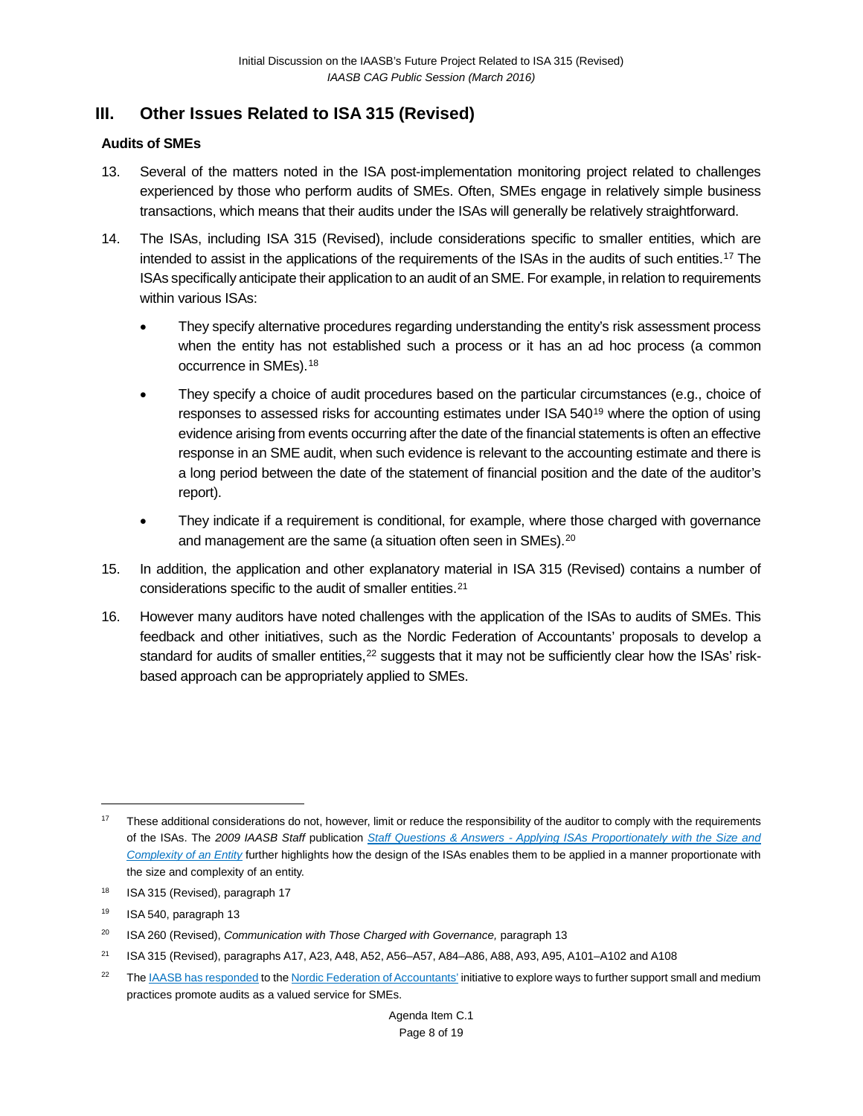### **III. Other Issues Related to ISA 315 (Revised)**

#### **Audits of SMEs**

- 13. Several of the matters noted in the ISA post-implementation monitoring project related to challenges experienced by those who perform audits of SMEs. Often, SMEs engage in relatively simple business transactions, which means that their audits under the ISAs will generally be relatively straightforward.
- 14. The ISAs, including ISA 315 (Revised), include considerations specific to smaller entities, which are intended to assist in the applications of the requirements of the ISAs in the audits of such entities.[17](#page-7-0) The ISAs specifically anticipate their application to an audit of an SME. For example, in relation to requirements within various ISAs:
	- They specify alternative procedures regarding understanding the entity's risk assessment process when the entity has not established such a process or it has an ad hoc process (a common occurrence in SMEs).[18](#page-7-1)
	- They specify a choice of audit procedures based on the particular circumstances (e.g., choice of responses to assessed risks for accounting estimates under ISA 540[19](#page-7-2) where the option of using evidence arising from events occurring after the date of the financial statements is often an effective response in an SME audit, when such evidence is relevant to the accounting estimate and there is a long period between the date of the statement of financial position and the date of the auditor's report).
	- They indicate if a requirement is conditional, for example, where those charged with governance and management are the same (a situation often seen in SMEs).<sup>[20](#page-7-3)</sup>
- 15. In addition, the application and other explanatory material in ISA 315 (Revised) contains a number of considerations specific to the audit of smaller entities.[21](#page-7-4)
- 16. However many auditors have noted challenges with the application of the ISAs to audits of SMEs. This feedback and other initiatives, such as the Nordic Federation of Accountants' proposals to develop a standard for audits of smaller entities, $22$  suggests that it may not be sufficiently clear how the ISAs' riskbased approach can be appropriately applied to SMEs.

<span id="page-7-0"></span><sup>&</sup>lt;sup>17</sup> These additional considerations do not, however, limit or reduce the responsibility of the auditor to comply with the requirements of the ISAs. The *2009 IAASB Staff* publication *Staff Questions & Answers - [Applying ISAs Proportionately with the Size and](http://www.ifac.org/publications-resources/staff-questions-answers-applying-isas-proportionately-size-and-complexity-ent)  [Complexity of an Entity](http://www.ifac.org/publications-resources/staff-questions-answers-applying-isas-proportionately-size-and-complexity-ent)* further highlights how the design of the ISAs enables them to be applied in a manner proportionate with the size and complexity of an entity.

<span id="page-7-1"></span><sup>&</sup>lt;sup>18</sup> ISA 315 (Revised), paragraph 17

<span id="page-7-2"></span><sup>19</sup> ISA 540, paragraph 13

<span id="page-7-3"></span><sup>&</sup>lt;sup>20</sup> ISA 260 (Revised), *Communication with Those Charged with Governance, paragraph 13* 

<span id="page-7-4"></span><sup>21</sup> ISA 315 (Revised), paragraphs A17, A23, A48, A52, A56–A57, A84–A86, A88, A93, A95, A101–A102 and A108

<span id="page-7-5"></span><sup>&</sup>lt;sup>22</sup> The **IAASB** has responded to th[e Nordic Federation of Accountants'](https://www.revisorforeningen.no/fag/nyheter/Nordic_standard/) initiative to explore ways to further support small and medium practices promote audits as a valued service for SMEs.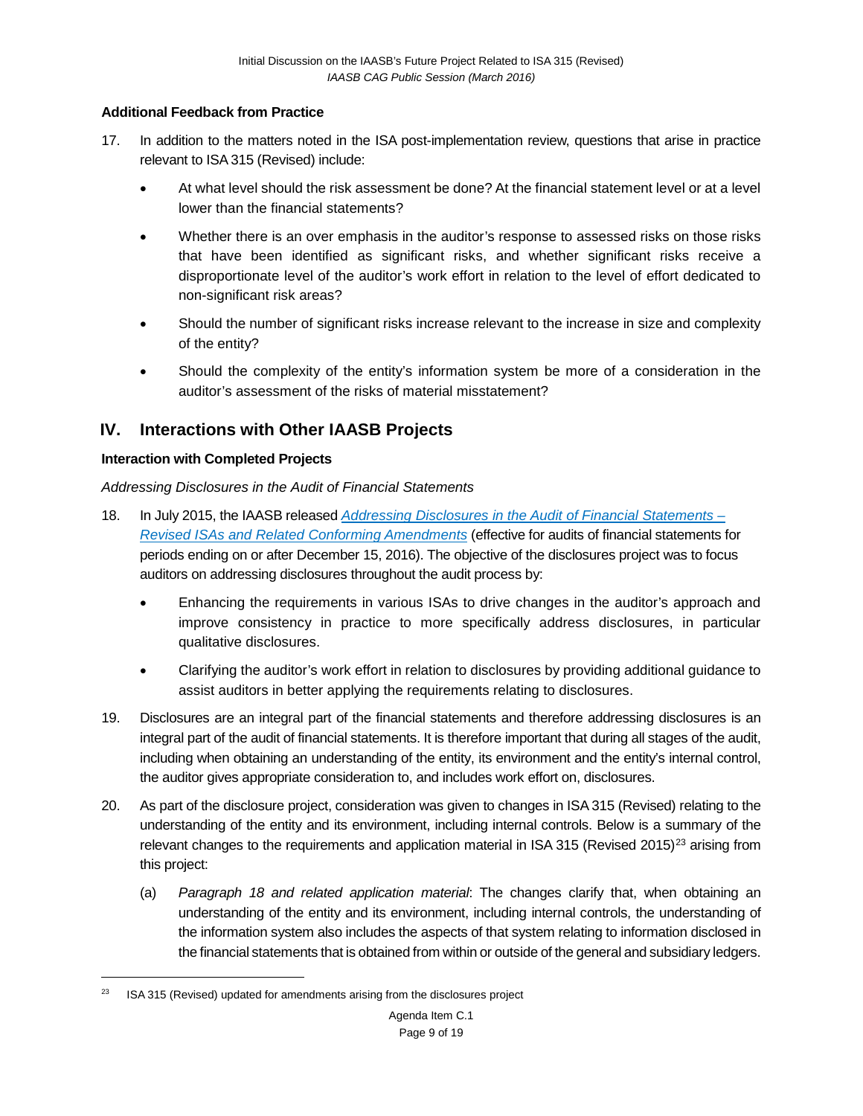#### **Additional Feedback from Practice**

- 17. In addition to the matters noted in the ISA post-implementation review, questions that arise in practice relevant to ISA 315 (Revised) include:
	- At what level should the risk assessment be done? At the financial statement level or at a level lower than the financial statements?
	- Whether there is an over emphasis in the auditor's response to assessed risks on those risks that have been identified as significant risks, and whether significant risks receive a disproportionate level of the auditor's work effort in relation to the level of effort dedicated to non-significant risk areas?
	- Should the number of significant risks increase relevant to the increase in size and complexity of the entity?
	- Should the complexity of the entity's information system be more of a consideration in the auditor's assessment of the risks of material misstatement?

## **IV. Interactions with Other IAASB Projects**

#### **Interaction with Completed Projects**

*Addressing Disclosures in the Audit of Financial Statements*

- 18. In July 2015, the IAASB released *[Addressing Disclosures in the Audit of Financial Statements –](http://www.ifac.org/news-events/2015-07/iaasb-finalizes-amendments-auditing-standards-promote-greater-focus-financial) [Revised ISAs and Related Conforming Amendments](http://www.ifac.org/news-events/2015-07/iaasb-finalizes-amendments-auditing-standards-promote-greater-focus-financial)* (effective for audits of financial statements for periods ending on or after December 15, 2016). The objective of the disclosures project was to focus auditors on addressing disclosures throughout the audit process by:
	- Enhancing the requirements in various ISAs to drive changes in the auditor's approach and improve consistency in practice to more specifically address disclosures, in particular qualitative disclosures.
	- Clarifying the auditor's work effort in relation to disclosures by providing additional guidance to assist auditors in better applying the requirements relating to disclosures.
- 19. Disclosures are an integral part of the financial statements and therefore addressing disclosures is an integral part of the audit of financial statements. It is therefore important that during all stages of the audit, including when obtaining an understanding of the entity, its environment and the entity's internal control, the auditor gives appropriate consideration to, and includes work effort on, disclosures.
- 20. As part of the disclosure project, consideration was given to changes in ISA 315 (Revised) relating to the understanding of the entity and its environment, including internal controls. Below is a summary of the relevant changes to the requirements and application material in ISA 315 (Revised 2015)<sup>[23](#page-8-0)</sup> arising from this project:
	- (a) *Paragraph 18 and related application material*: The changes clarify that, when obtaining an understanding of the entity and its environment, including internal controls, the understanding of the information system also includes the aspects of that system relating to information disclosed in the financial statements that is obtained from within or outside of the general and subsidiary ledgers.

<span id="page-8-0"></span> $23$  ISA 315 (Revised) updated for amendments arising from the disclosures project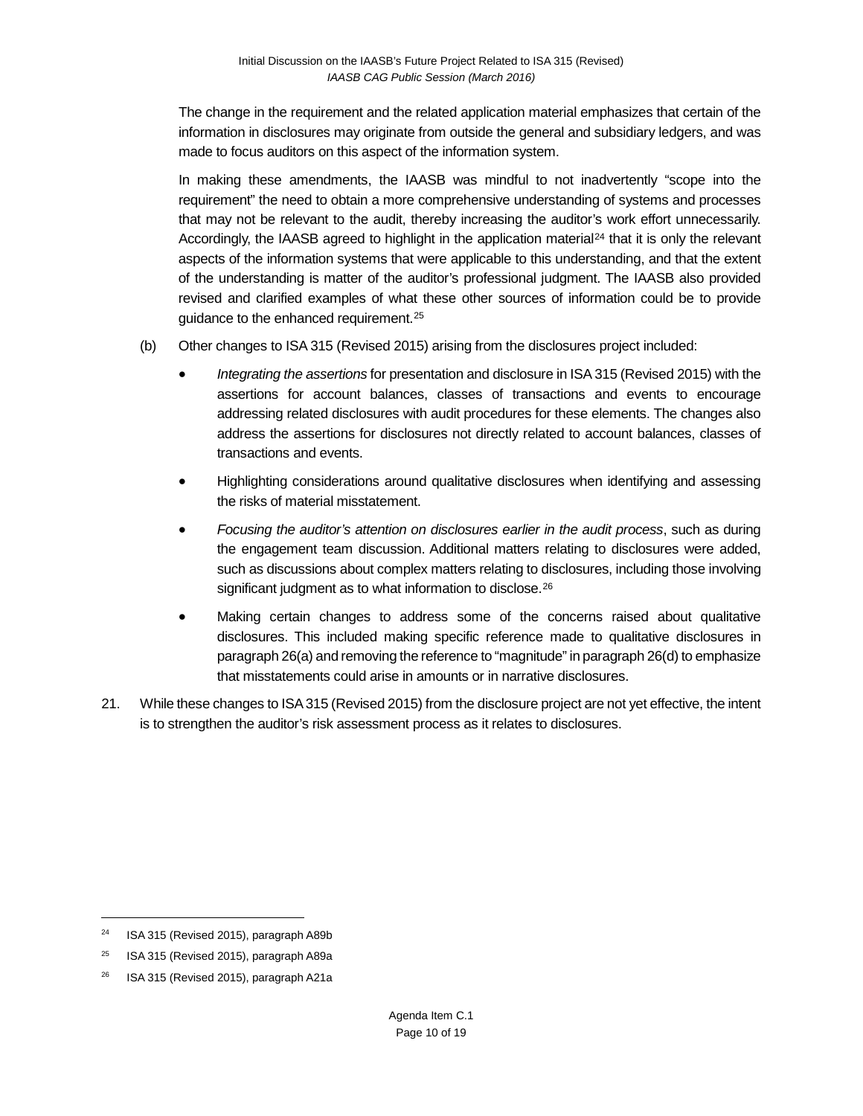The change in the requirement and the related application material emphasizes that certain of the information in disclosures may originate from outside the general and subsidiary ledgers, and was made to focus auditors on this aspect of the information system.

In making these amendments, the IAASB was mindful to not inadvertently "scope into the requirement" the need to obtain a more comprehensive understanding of systems and processes that may not be relevant to the audit, thereby increasing the auditor's work effort unnecessarily. Accordingly, the IAASB agreed to highlight in the application material<sup>[24](#page-9-0)</sup> that it is only the relevant aspects of the information systems that were applicable to this understanding, and that the extent of the understanding is matter of the auditor's professional judgment. The IAASB also provided revised and clarified examples of what these other sources of information could be to provide guidance to the enhanced requirement.[25](#page-9-1)

- (b) Other changes to ISA 315 (Revised 2015) arising from the disclosures project included:
	- *Integrating the assertions* for presentation and disclosure in ISA 315 (Revised 2015) with the assertions for account balances, classes of transactions and events to encourage addressing related disclosures with audit procedures for these elements. The changes also address the assertions for disclosures not directly related to account balances, classes of transactions and events.
	- Highlighting considerations around qualitative disclosures when identifying and assessing the risks of material misstatement.
	- *Focusing the auditor's attention on disclosures earlier in the audit process*, such as during the engagement team discussion. Additional matters relating to disclosures were added, such as discussions about complex matters relating to disclosures, including those involving significant judgment as to what information to disclose.<sup>[26](#page-9-2)</sup>
	- Making certain changes to address some of the concerns raised about qualitative disclosures. This included making specific reference made to qualitative disclosures in paragraph 26(a) and removing the reference to "magnitude" in paragraph 26(d) to emphasize that misstatements could arise in amounts or in narrative disclosures.
- 21. While these changes to ISA 315 (Revised 2015) from the disclosure project are not yet effective, the intent is to strengthen the auditor's risk assessment process as it relates to disclosures.

<span id="page-9-0"></span><sup>&</sup>lt;sup>24</sup> ISA 315 (Revised 2015), paragraph A89b

<span id="page-9-1"></span> $25$  ISA 315 (Revised 2015), paragraph A89a

<span id="page-9-2"></span><sup>&</sup>lt;sup>26</sup> ISA 315 (Revised 2015), paragraph A21a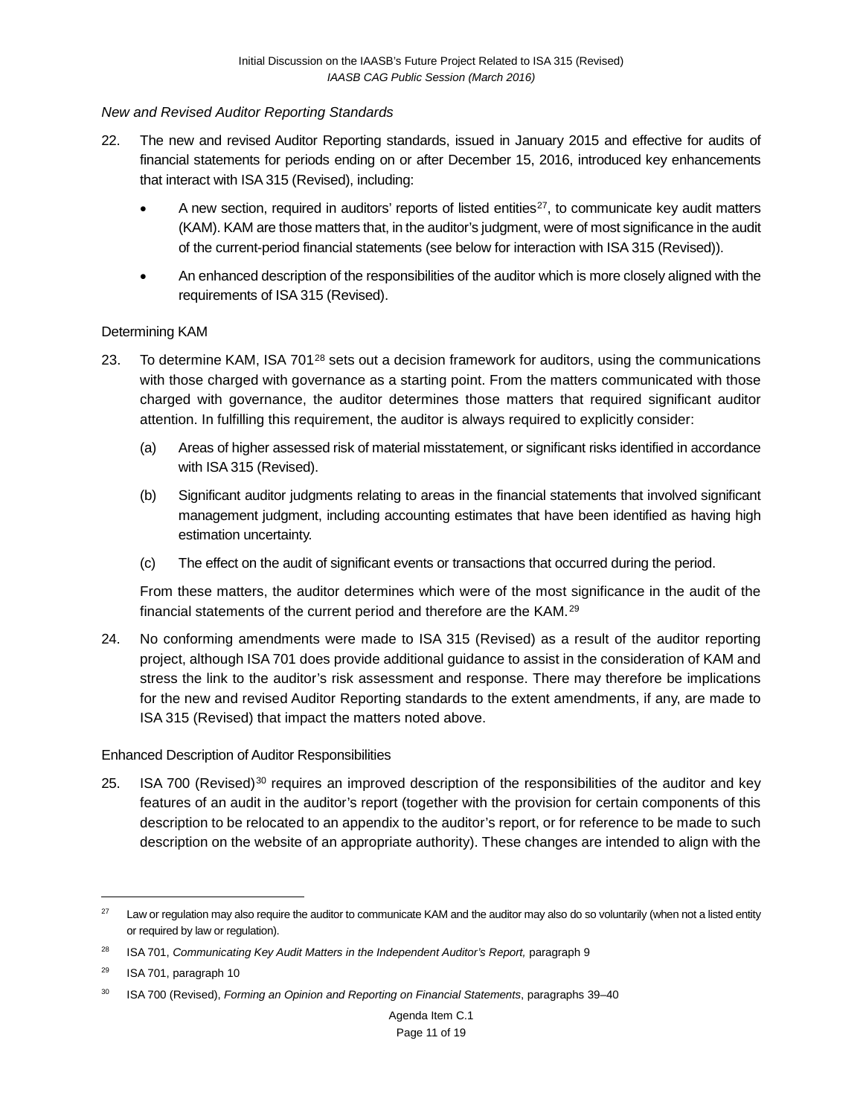#### *New and Revised Auditor Reporting Standards*

- 22. The new and revised Auditor Reporting standards, issued in January 2015 and effective for audits of financial statements for periods ending on or after December 15, 2016, introduced [key enhancements](http://www.ifac.org/system/files/uploads/IAASB/Audit%20Reporting-At%20a%20Glance-final.pdf) that interact with ISA 315 (Revised), including:
	- A new section, required in auditors' reports of listed entities<sup>[27](#page-10-0)</sup>, to communicate key audit matters (KAM). KAM are those matters that, in the auditor's judgment, were of most significance in the audit of the current-period financial statements (see below for interaction with ISA 315 (Revised)).
	- An enhanced description of the responsibilities of the auditor which is more closely aligned with the requirements of ISA 315 (Revised).

#### Determining KAM

- 23. To determine KAM, ISA 701<sup>[28](#page-10-1)</sup> sets out a decision framework for auditors, using the communications with those charged with governance as a starting point. From the matters communicated with those charged with governance, the auditor determines those matters that required significant auditor attention. In fulfilling this requirement, the auditor is always required to explicitly consider:
	- (a) Areas of higher assessed risk of material misstatement, or significant risks identified in accordance with ISA 315 (Revised).
	- (b) Significant auditor judgments relating to areas in the financial statements that involved significant management judgment, including accounting estimates that have been identified as having high estimation uncertainty.
	- (c) The effect on the audit of significant events or transactions that occurred during the period.

From these matters, the auditor determines which were of the most significance in the audit of the financial statements of the current period and therefore are the KAM.[29](#page-10-2)

24. No conforming amendments were made to ISA 315 (Revised) as a result of the auditor reporting project, although ISA 701 does provide additional guidance to assist in the consideration of KAM and stress the link to the auditor's risk assessment and response. There may therefore be implications for the new and revised Auditor Reporting standards to the extent amendments, if any, are made to ISA 315 (Revised) that impact the matters noted above.

#### Enhanced Description of Auditor Responsibilities

25. ISA 700 (Revised)<sup>[30](#page-10-3)</sup> requires an improved description of the responsibilities of the auditor and key features of an audit in the auditor's report (together with the provision for certain components of this description to be relocated to an appendix to the auditor's report, or for reference to be made to such description on the website of an appropriate authority). These changes are intended to align with the

<span id="page-10-0"></span><sup>&</sup>lt;sup>27</sup> Law or regulation may also require the auditor to communicate KAM and the auditor may also do so voluntarily (when not a listed entity or required by law or regulation).

<span id="page-10-1"></span><sup>&</sup>lt;sup>28</sup> ISA 701, *Communicating Key Audit Matters in the Independent Auditor's Report, paragraph 9* 

<span id="page-10-2"></span><sup>29</sup> ISA 701, paragraph 10

<span id="page-10-3"></span><sup>30</sup> ISA 700 (Revised), *Forming an Opinion and Reporting on Financial Statements*, paragraphs 39–40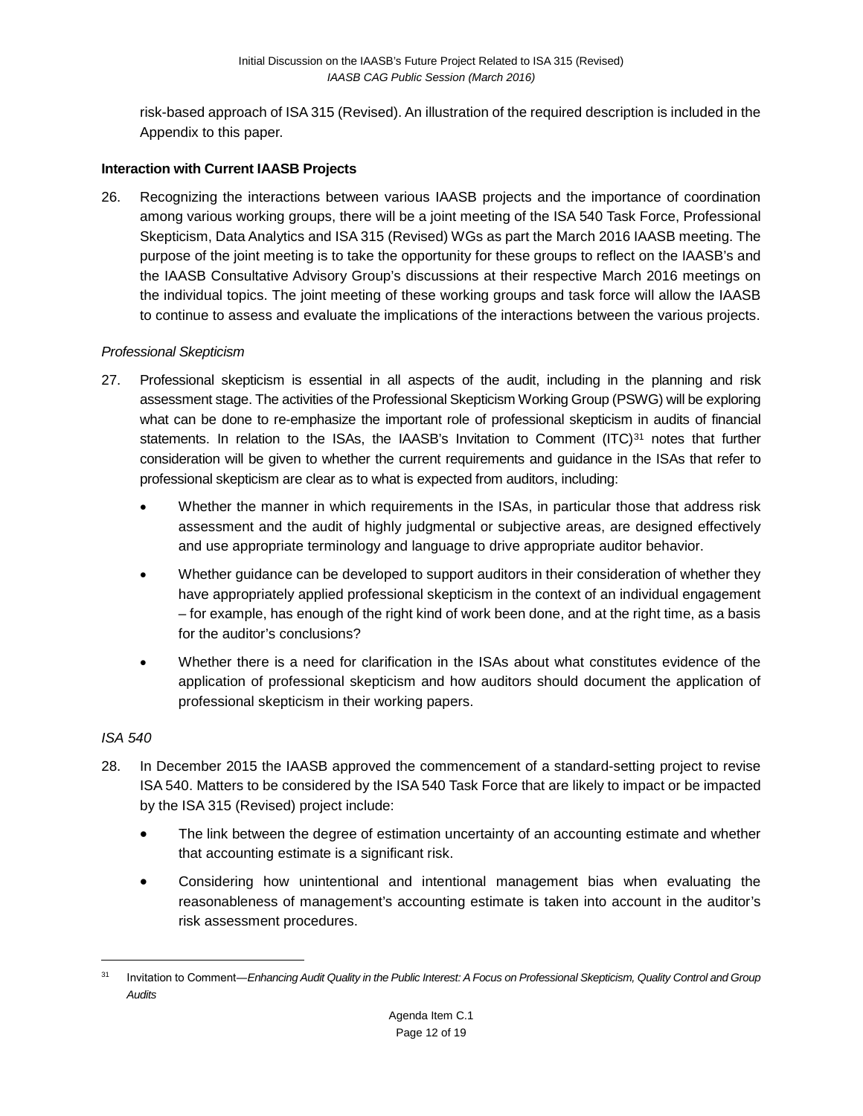risk-based approach of ISA 315 (Revised). An illustration of the required description is included in the Appendix to this paper.

#### **Interaction with Current IAASB Projects**

26. Recognizing the interactions between various IAASB projects and the importance of coordination among various working groups, there will be a joint meeting of the ISA 540 Task Force, Professional Skepticism, Data Analytics and ISA 315 (Revised) WGs as part the March 2016 IAASB meeting. The purpose of the joint meeting is to take the opportunity for these groups to reflect on the IAASB's and the IAASB Consultative Advisory Group's discussions at their respective March 2016 meetings on the individual topics. The joint meeting of these working groups and task force will allow the IAASB to continue to assess and evaluate the implications of the interactions between the various projects.

#### *Professional Skepticism*

- 27. Professional skepticism is essential in all aspects of the audit, including in the planning and risk assessment stage. The activities of the Professional Skepticism Working Group (PSWG) will be exploring what can be done to re-emphasize the important role of professional skepticism in audits of financial statements. In relation to the ISAs, the IAASB's [Invitation to Comment](http://www.ifac.org/publications-resources/invitation-comment-enhancing-audit-quality-public-interest)  $(ITC)^{31}$  $(ITC)^{31}$  $(ITC)^{31}$  notes that further consideration will be given to whether the current requirements and guidance in the ISAs that refer to professional skepticism are clear as to what is expected from auditors, including:
	- Whether the manner in which requirements in the ISAs, in particular those that address risk assessment and the audit of highly judgmental or subjective areas, are designed effectively and use appropriate terminology and language to drive appropriate auditor behavior.
	- Whether guidance can be developed to support auditors in their consideration of whether they have appropriately applied professional skepticism in the context of an individual engagement – for example, has enough of the right kind of work been done, and at the right time, as a basis for the auditor's conclusions?
	- Whether there is a need for clarification in the ISAs about what constitutes evidence of the application of professional skepticism and how auditors should document the application of professional skepticism in their working papers.

#### *ISA 540*

- 28. In December 2015 the IAASB approved the commencement of a standard-setting project to revise ISA 540. Matters to be considered by the ISA 540 Task Force that are likely to impact or be impacted by the ISA 315 (Revised) project include:
	- The link between the degree of estimation uncertainty of an accounting estimate and whether that accounting estimate is a significant risk.
	- Considering how unintentional and intentional management bias when evaluating the reasonableness of management's accounting estimate is taken into account in the auditor's risk assessment procedures.

<span id="page-11-0"></span><sup>31</sup> Invitation to Comment―*Enhancing Audit Quality in the Public Interest: A Focus on Professional Skepticism, Quality Control and Group Audits*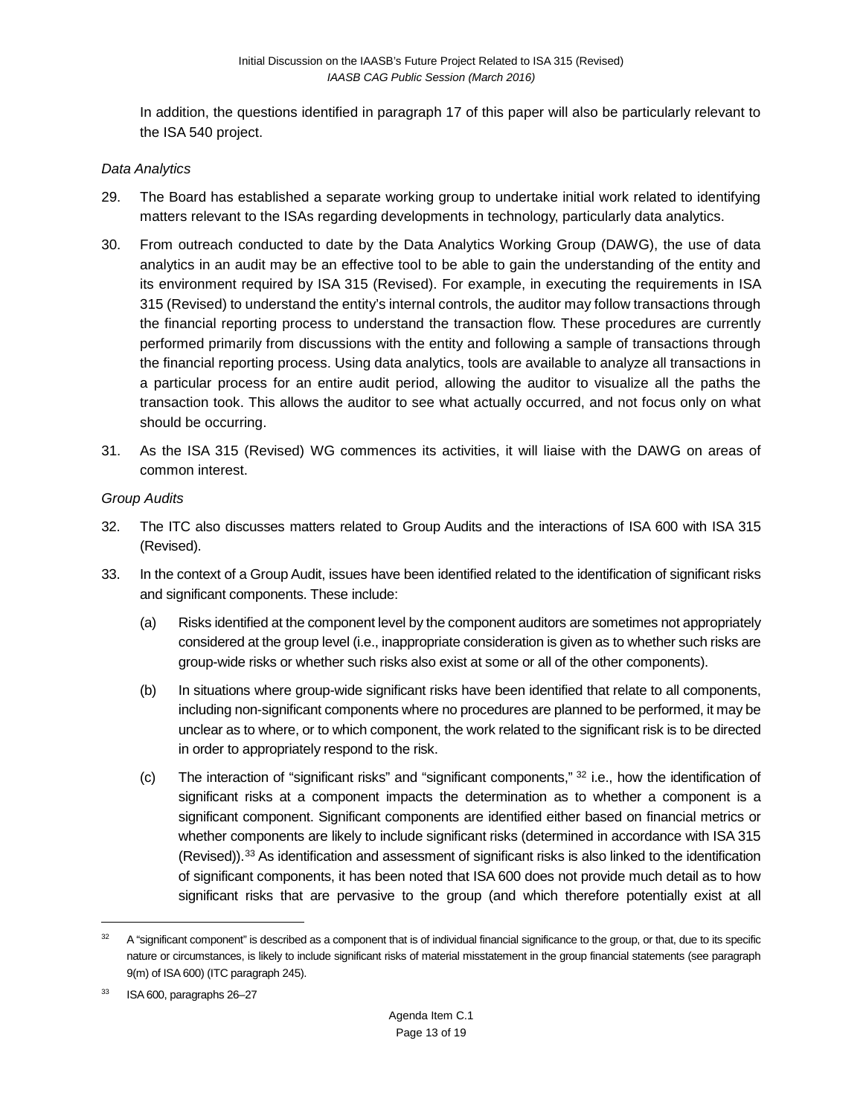In addition, the questions identified in paragraph 17 of this paper will also be particularly relevant to the ISA 540 project.

#### *Data Analytics*

- 29. The Board has established a separate working group to undertake initial work related to identifying matters relevant to the ISAs regarding developments in technology, particularly data analytics.
- 30. From outreach conducted to date by the Data Analytics Working Group (DAWG), the use of data analytics in an audit may be an effective tool to be able to gain the understanding of the entity and its environment required by ISA 315 (Revised). For example, in executing the requirements in ISA 315 (Revised) to understand the entity's internal controls, the auditor may follow transactions through the financial reporting process to understand the transaction flow. These procedures are currently performed primarily from discussions with the entity and following a sample of transactions through the financial reporting process. Using data analytics, tools are available to analyze all transactions in a particular process for an entire audit period, allowing the auditor to visualize all the paths the transaction took. This allows the auditor to see what actually occurred, and not focus only on what should be occurring.
- 31. As the ISA 315 (Revised) WG commences its activities, it will liaise with the DAWG on areas of common interest.

#### *Group Audits*

- 32. The ITC also discusses matters related to Group Audits and the interactions of ISA 600 with ISA 315 (Revised).
- 33. In the context of a Group Audit, issues have been identified related to the identification of significant risks and significant components. These include:
	- (a) Risks identified at the component level by the component auditors are sometimes not appropriately considered at the group level (i.e., inappropriate consideration is given as to whether such risks are group-wide risks or whether such risks also exist at some or all of the other components).
	- (b) In situations where group-wide significant risks have been identified that relate to all components, including non-significant components where no procedures are planned to be performed, it may be unclear as to where, or to which component, the work related to the significant risk is to be directed in order to appropriately respond to the risk.
	- (c) The interaction of "significant risks" and "significant components," [32](#page-12-0) i.e., how the identification of significant risks at a component impacts the determination as to whether a component is a significant component. Significant components are identified either based on financial metrics or whether components are likely to include significant risks (determined in accordance with ISA 315 (Revised)).[33](#page-12-1) As identification and assessment of significant risks is also linked to the identification of significant components, it has been noted that ISA 600 does not provide much detail as to how significant risks that are pervasive to the group (and which therefore potentially exist at all

<span id="page-12-0"></span><sup>&</sup>lt;sup>32</sup> A "significant component" is described as a component that is of individual financial significance to the group, or that, due to its specific nature or circumstances, is likely to include significant risks of material misstatement in the group financial statements (see paragraph 9(m) of ISA 600) (ITC paragraph 245).

<span id="page-12-1"></span><sup>33</sup> ISA 600, paragraphs 26–27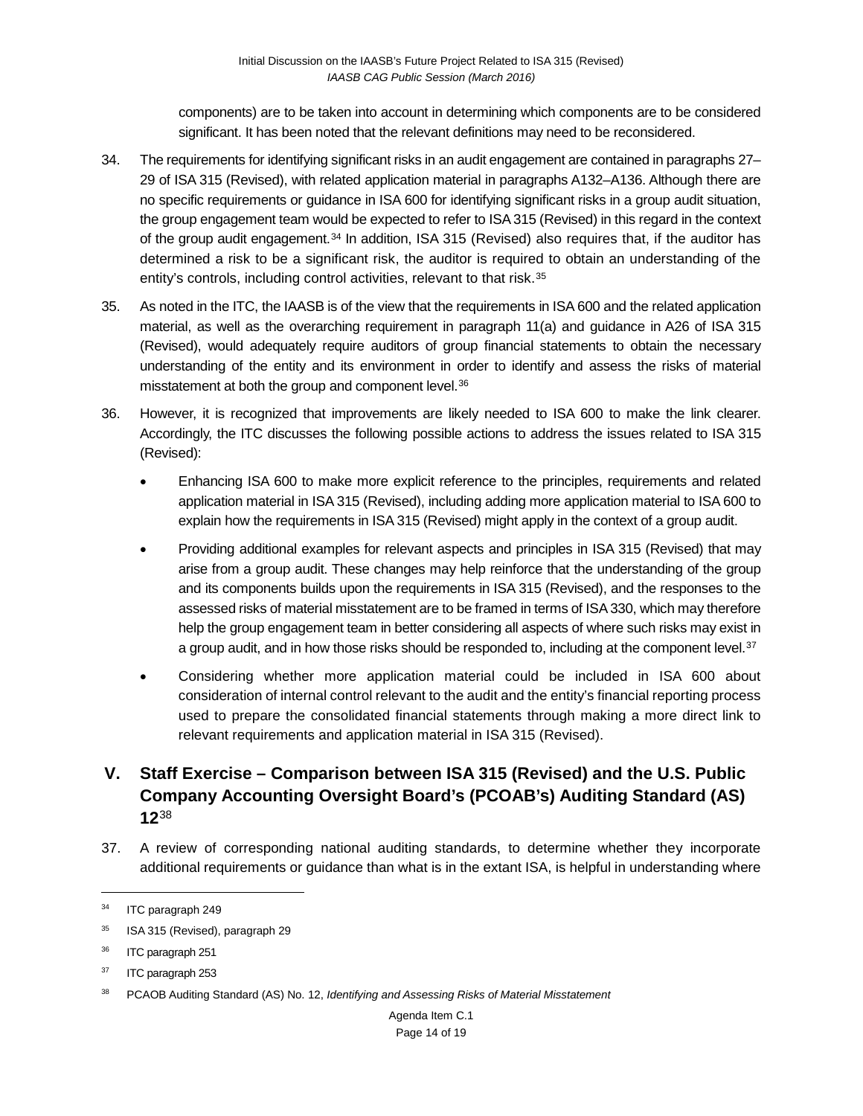components) are to be taken into account in determining which components are to be considered significant. It has been noted that the relevant definitions may need to be reconsidered.

- 34. The requirements for identifying significant risks in an audit engagement are contained in paragraphs 27– 29 of ISA 315 (Revised), with related application material in paragraphs A132–A136. Although there are no specific requirements or guidance in ISA 600 for identifying significant risks in a group audit situation, the group engagement team would be expected to refer to ISA 315 (Revised) in this regard in the context of the group audit engagement.<sup>[34](#page-13-0)</sup> In addition, ISA 315 (Revised) also requires that, if the auditor has determined a risk to be a significant risk, the auditor is required to obtain an understanding of the entity's controls, including control activities, relevant to that risk.<sup>[35](#page-13-1)</sup>
- 35. As noted in the ITC, the IAASB is of the view that the requirements in ISA 600 and the related application material, as well as the overarching requirement in paragraph 11(a) and guidance in A26 of ISA 315 (Revised), would adequately require auditors of group financial statements to obtain the necessary understanding of the entity and its environment in order to identify and assess the risks of material misstatement at both the group and component level[.36](#page-13-2)
- 36. However, it is recognized that improvements are likely needed to ISA 600 to make the link clearer. Accordingly, the ITC discusses the following possible actions to address the issues related to ISA 315 (Revised):
	- Enhancing ISA 600 to make more explicit reference to the principles, requirements and related application material in ISA 315 (Revised), including adding more application material to ISA 600 to explain how the requirements in ISA 315 (Revised) might apply in the context of a group audit.
	- Providing additional examples for relevant aspects and principles in ISA 315 (Revised) that may arise from a group audit. These changes may help reinforce that the understanding of the group and its components builds upon the requirements in ISA 315 (Revised), and the responses to the assessed risks of material misstatement are to be framed in terms of ISA 330, which may therefore help the group engagement team in better considering all aspects of where such risks may exist in a group audit, and in how those risks should be responded to, including at the component level.<sup>[37](#page-13-3)</sup>
	- Considering whether more application material could be included in ISA 600 about consideration of internal control relevant to the audit and the entity's financial reporting process used to prepare the consolidated financial statements through making a more direct link to relevant requirements and application material in ISA 315 (Revised).

# **V. Staff Exercise – Comparison between ISA 315 (Revised) and the U.S. Public Company Accounting Oversight Board's (PCOAB's) Auditing Standard (AS) 12**[38](#page-13-4)

37. A review of corresponding national auditing standards, to determine whether they incorporate additional requirements or guidance than what is in the extant ISA, is helpful in understanding where

<span id="page-13-0"></span><sup>&</sup>lt;sup>34</sup> ITC paragraph 249

<span id="page-13-1"></span><sup>&</sup>lt;sup>35</sup> ISA 315 (Revised), paragraph 29

<span id="page-13-2"></span><sup>36</sup> ITC paragraph 251

<span id="page-13-3"></span><sup>37</sup> ITC paragraph 253

<span id="page-13-4"></span><sup>38</sup> PCAOB Auditing Standard (AS) No. 12, *Identifying and Assessing Risks of Material Misstatement*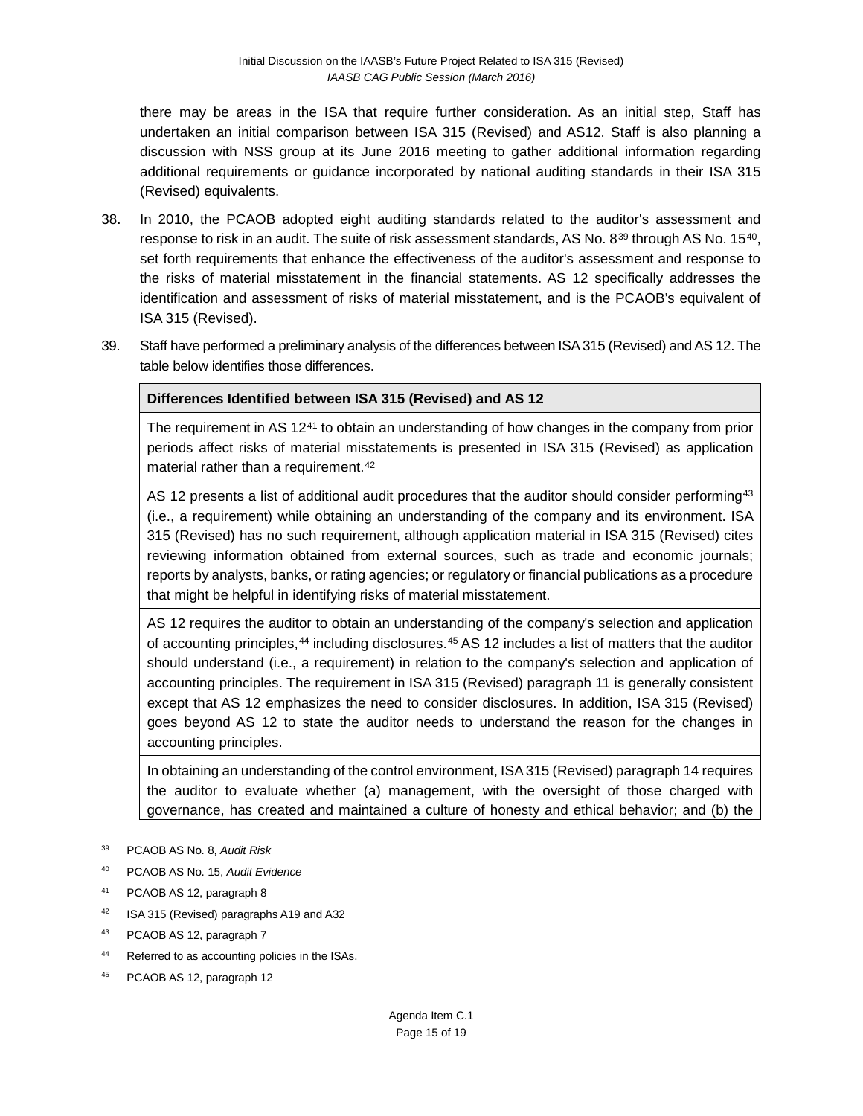there may be areas in the ISA that require further consideration. As an initial step, Staff has undertaken an initial comparison between ISA 315 (Revised) and AS12. Staff is also planning a discussion with NSS group at its June 2016 meeting to gather additional information regarding additional requirements or guidance incorporated by national auditing standards in their ISA 315 (Revised) equivalents.

- 38. In 2010, the PCAOB adopted eight auditing standards related to the auditor's assessment and response to risk in an audit. The suite of risk assessment standards, AS No. 8<sup>[39](#page-14-0)</sup> through AS No. 15<sup>[40](#page-14-1)</sup>, set forth requirements that enhance the effectiveness of the auditor's assessment and response to the risks of material misstatement in the financial statements. AS 12 specifically addresses the identification and assessment of risks of material misstatement, and is the PCAOB's equivalent of ISA 315 (Revised).
- 39. Staff have performed a preliminary analysis of the differences between ISA 315 (Revised) and AS 12. The table below identifies those differences.

#### **Differences Identified between ISA 315 (Revised) and AS 12**

The requirement in AS 12<sup>[41](#page-14-2)</sup> to obtain an understanding of how changes in the company from prior periods affect risks of material misstatements is presented in ISA 315 (Revised) as application material rather than a requirement.<sup>[42](#page-14-3)</sup>

AS 12 presents a list of additional audit procedures that the auditor should consider performing<sup>[43](#page-14-4)</sup> (i.e., a requirement) while obtaining an understanding of the company and its environment. ISA 315 (Revised) has no such requirement, although application material in ISA 315 (Revised) cites reviewing information obtained from external sources, such as trade and economic journals; reports by analysts, banks, or rating agencies; or regulatory or financial publications as a procedure that might be helpful in identifying risks of material misstatement.

AS 12 requires the auditor to obtain an understanding of the company's selection and application of accounting principles,[44](#page-14-5) including disclosures.[45](#page-14-6) AS 12 includes a list of matters that the auditor should understand (i.e., a requirement) in relation to the company's selection and application of accounting principles. The requirement in ISA 315 (Revised) paragraph 11 is generally consistent except that AS 12 emphasizes the need to consider disclosures. In addition, ISA 315 (Revised) goes beyond AS 12 to state the auditor needs to understand the reason for the changes in accounting principles.

In obtaining an understanding of the control environment, ISA 315 (Revised) paragraph 14 requires the auditor to evaluate whether (a) management, with the oversight of those charged with governance, has created and maintained a culture of honesty and ethical behavior; and (b) the

- <span id="page-14-1"></span><sup>40</sup> PCAOB AS No. 15, *Audit Evidence*
- <span id="page-14-2"></span><sup>41</sup> PCAOB AS 12, paragraph 8
- <span id="page-14-3"></span>42 ISA 315 (Revised) paragraphs A19 and A32
- <span id="page-14-4"></span><sup>43</sup> PCAOB AS 12, paragraph 7
- <span id="page-14-5"></span>44 Referred to as accounting policies in the ISAs.
- <span id="page-14-6"></span><sup>45</sup> PCAOB AS 12, paragraph 12

<span id="page-14-0"></span><sup>39</sup> PCAOB AS No. 8, *Audit Risk*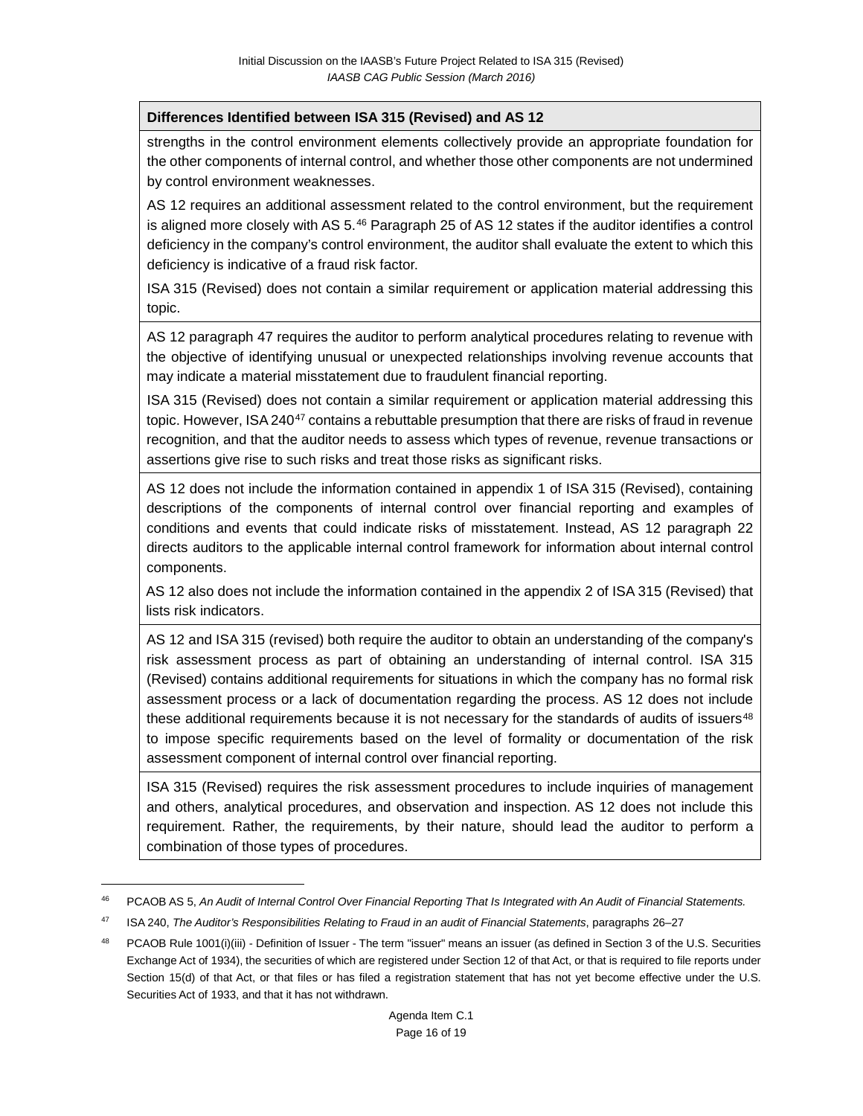#### **Differences Identified between ISA 315 (Revised) and AS 12**

strengths in the control environment elements collectively provide an appropriate foundation for the other components of internal control, and whether those other components are not undermined by control environment weaknesses.

AS 12 requires an additional assessment related to the control environment, but the requirement is aligned more closely with AS 5.[46](#page-15-0) Paragraph 25 of AS 12 states if the auditor identifies a control deficiency in the company's control environment, the auditor shall evaluate the extent to which this deficiency is indicative of a fraud risk factor.

ISA 315 (Revised) does not contain a similar requirement or application material addressing this topic.

AS 12 paragraph 47 requires the auditor to perform analytical procedures relating to revenue with the objective of identifying unusual or unexpected relationships involving revenue accounts that may indicate a material misstatement due to fraudulent financial reporting.

ISA 315 (Revised) does not contain a similar requirement or application material addressing this topic. However, ISA 240<sup>[47](#page-15-1)</sup> contains a rebuttable presumption that there are risks of fraud in revenue recognition, and that the auditor needs to assess which types of revenue, revenue transactions or assertions give rise to such risks and treat those risks as significant risks.

AS 12 does not include the information contained in appendix 1 of ISA 315 (Revised), containing descriptions of the components of internal control over financial reporting and examples of conditions and events that could indicate risks of misstatement. Instead, AS 12 paragraph 22 directs auditors to the applicable internal control framework for information about internal control components.

AS 12 also does not include the information contained in the appendix 2 of ISA 315 (Revised) that lists risk indicators.

AS 12 and ISA 315 (revised) both require the auditor to obtain an understanding of the company's risk assessment process as part of obtaining an understanding of internal control. ISA 315 (Revised) contains additional requirements for situations in which the company has no formal risk assessment process or a lack of documentation regarding the process. AS 12 does not include these additional requirements because it is not necessary for the standards of audits of issuers $48$ to impose specific requirements based on the level of formality or documentation of the risk assessment component of internal control over financial reporting.

ISA 315 (Revised) requires the risk assessment procedures to include inquiries of management and others, analytical procedures, and observation and inspection. AS 12 does not include this requirement. Rather, the requirements, by their nature, should lead the auditor to perform a combination of those types of procedures.

<span id="page-15-0"></span><sup>46</sup> PCAOB AS 5, *An Audit of Internal Control Over Financial Reporting That Is Integrated with An Audit of Financial Statements.*

<span id="page-15-1"></span><sup>47</sup> ISA 240, *The Auditor's Responsibilities Relating to Fraud in an audit of Financial Statements*, paragraphs 26–27

<span id="page-15-2"></span>PCAOB Rule 1001(i)(iii) - Definition of Issuer - The term "issuer" means an issuer (as defined in Section 3 of the U.S. Securities Exchange Act of 1934), the securities of which are registered under Section 12 of that Act, or that is required to file reports under Section 15(d) of that Act, or that files or has filed a registration statement that has not yet become effective under the U.S. Securities Act of 1933, and that it has not withdrawn.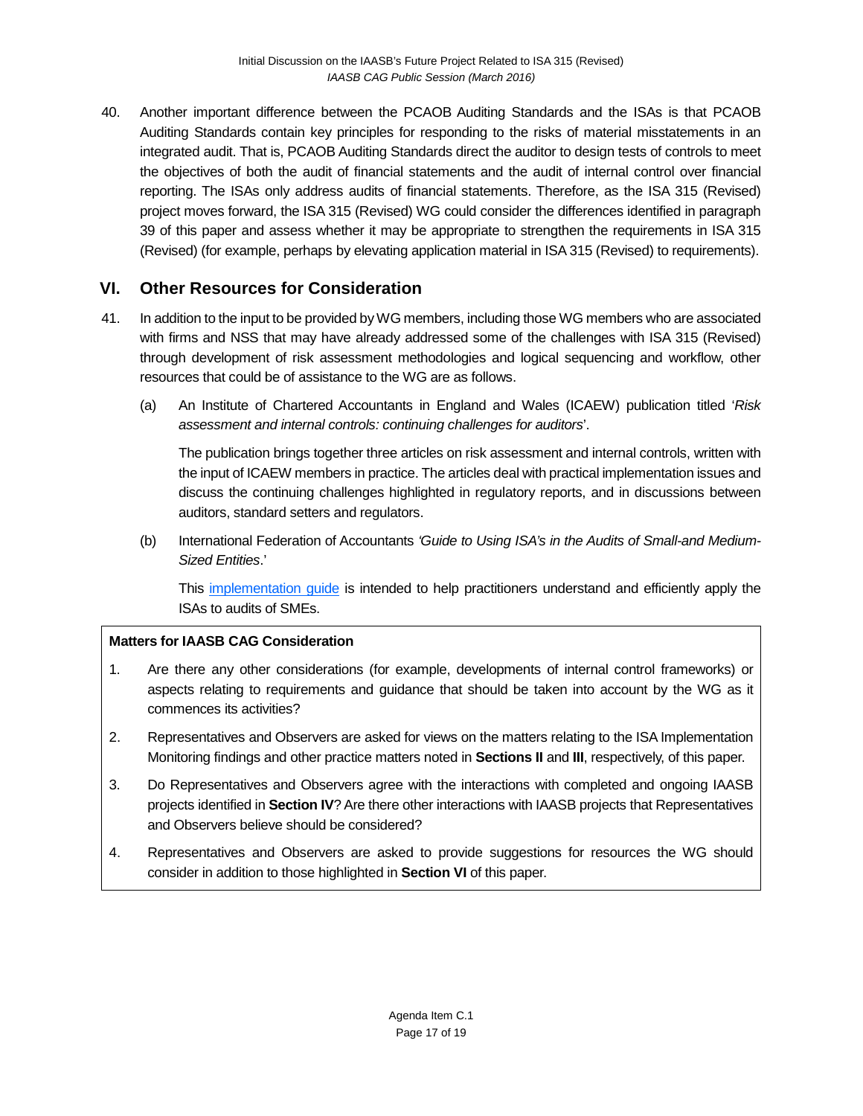40. Another important difference between the PCAOB Auditing Standards and the ISAs is that PCAOB Auditing Standards contain key principles for responding to the risks of material misstatements in an integrated audit. That is, PCAOB Auditing Standards direct the auditor to design tests of controls to meet the objectives of both the audit of financial statements and the audit of internal control over financial reporting. The ISAs only address audits of financial statements. Therefore, as the ISA 315 (Revised) project moves forward, the ISA 315 (Revised) WG could consider the differences identified in paragraph 39 of this paper and assess whether it may be appropriate to strengthen the requirements in ISA 315 (Revised) (for example, perhaps by elevating application material in ISA 315 (Revised) to requirements).

## **VI. Other Resources for Consideration**

- 41. In addition to the input to be provided by WG members, including those WG members who are associated with firms and NSS that may have already addressed some of the challenges with ISA 315 (Revised) through development of risk assessment methodologies and logical sequencing and workflow, other resources that could be of assistance to the WG are as follows.
	- (a) An Institute of Chartered Accountants in England and Wales (ICAEW) publication titled '*Risk assessment and internal controls: continuing challenges for auditors*'.

The publication brings together three articles on risk assessment and internal controls, written with the input of ICAEW members in practice. The articles deal with practical implementation issues and discuss the continuing challenges highlighted in regulatory reports, and in discussions between auditors, standard setters and regulators.

(b) International Federation of Accountants *'Guide to Using ISA's in the Audits of Small-and Medium-Sized Entities*.'

This [implementation guide](https://www.ifac.org/publications-resources/guide-using-international-standards-auditing-audits-small-and-medium-sized-en) is intended to help practitioners understand and efficiently apply the ISAs to audits of SMEs.

#### **Matters for IAASB CAG Consideration**

- 1. Are there any other considerations (for example, developments of internal control frameworks) or aspects relating to requirements and guidance that should be taken into account by the WG as it commences its activities?
- 2. Representatives and Observers are asked for views on the matters relating to the ISA Implementation Monitoring findings and other practice matters noted in **Sections II** and **III**, respectively, of this paper.
- 3. Do Representatives and Observers agree with the interactions with completed and ongoing IAASB projects identified in **Section IV**? Are there other interactions with IAASB projects that Representatives and Observers believe should be considered?
- 4. Representatives and Observers are asked to provide suggestions for resources the WG should consider in addition to those highlighted in **Section VI** of this paper.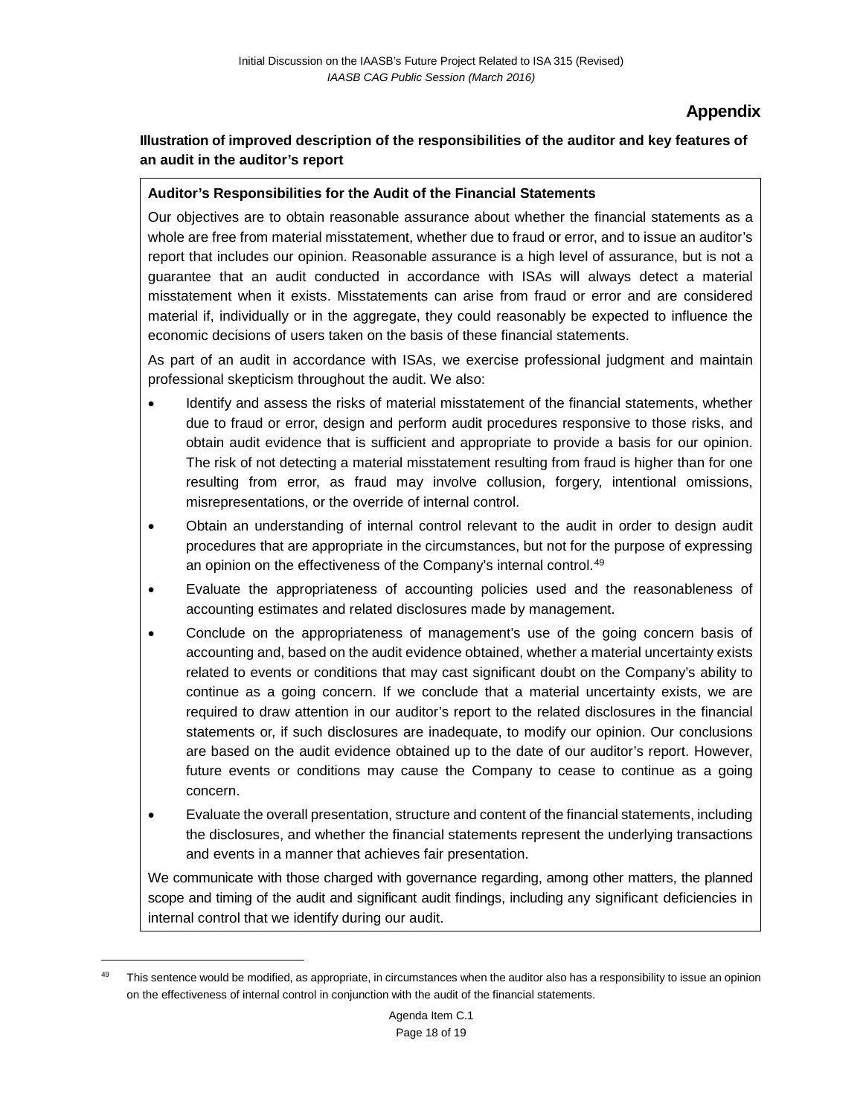### **Appendix**

### **Illustration of improved description of the responsibilities of the auditor and key features of an audit in the auditor's report**

#### **Auditor's Responsibilities for the Audit of the Financial Statements**

Our objectives are to obtain reasonable assurance about whether the financial statements as a whole are free from material misstatement, whether due to fraud or error, and to issue an auditor's report that includes our opinion. Reasonable assurance is a high level of assurance, but is not a guarantee that an audit conducted in accordance with ISAs will always detect a material misstatement when it exists. Misstatements can arise from fraud or error and are considered material if, individually or in the aggregate, they could reasonably be expected to influence the economic decisions of users taken on the basis of these financial statements.

As part of an audit in accordance with ISAs, we exercise professional judgment and maintain professional skepticism throughout the audit. We also:

- Identify and assess the risks of material misstatement of the financial statements, whether due to fraud or error, design and perform audit procedures responsive to those risks, and obtain audit evidence that is sufficient and appropriate to provide a basis for our opinion. The risk of not detecting a material misstatement resulting from fraud is higher than for one resulting from error, as fraud may involve collusion, forgery, intentional omissions, misrepresentations, or the override of internal control.
- Obtain an understanding of internal control relevant to the audit in order to design audit procedures that are appropriate in the circumstances, but not for the purpose of expressing an opinion on the effectiveness of the Company's internal control.<sup>[49](#page-17-0)</sup>
- Evaluate the appropriateness of accounting policies used and the reasonableness of accounting estimates and related disclosures made by management.
- Conclude on the appropriateness of management's use of the going concern basis of accounting and, based on the audit evidence obtained, whether a material uncertainty exists related to events or conditions that may cast significant doubt on the Company's ability to continue as a going concern. If we conclude that a material uncertainty exists, we are required to draw attention in our auditor's report to the related disclosures in the financial statements or, if such disclosures are inadequate, to modify our opinion. Our conclusions are based on the audit evidence obtained up to the date of our auditor's report. However, future events or conditions may cause the Company to cease to continue as a going concern.
- Evaluate the overall presentation, structure and content of the financial statements, including the disclosures, and whether the financial statements represent the underlying transactions and events in a manner that achieves fair presentation.

We communicate with those charged with governance regarding, among other matters, the planned scope and timing of the audit and significant audit findings, including any significant deficiencies in internal control that we identify during our audit.

<span id="page-17-0"></span>This sentence would be modified, as appropriate, in circumstances when the auditor also has a responsibility to issue an opinion on the effectiveness of internal control in conjunction with the audit of the financial statements.